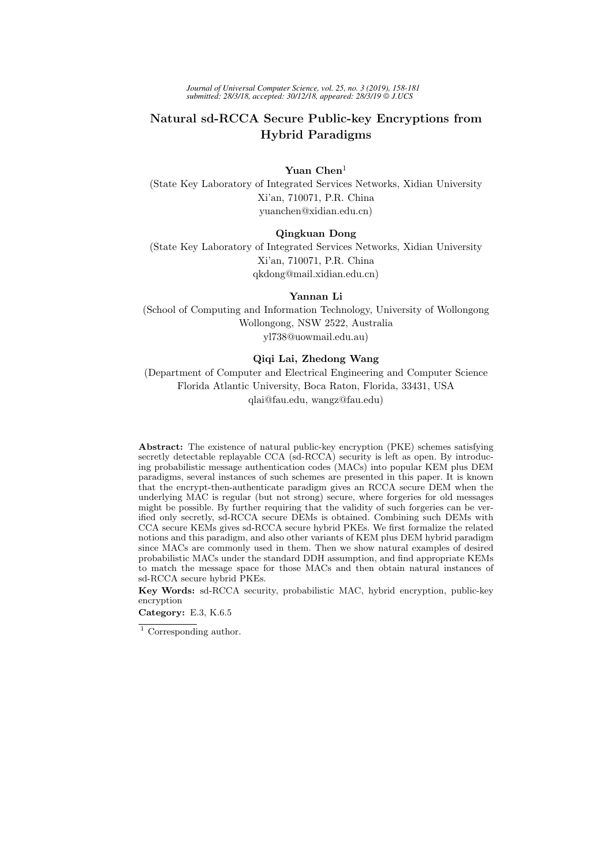*Journal of Universal Computer Science, vol. 25, no. 3 (2019), 158-181 submitted: 28/3/18, accepted: 30/12/18, appeared: 28/3/19 J.UCS*

# Natural sd-RCCA Secure Public-key Encryptions from Hybrid Paradigms

Yuan Chen<sup>1</sup> (State Key Laboratory of Integrated Services Networks, Xidian University Xi'an, 710071, P.R. China yuanchen@xidian.edu.cn)

## Qingkuan Dong

(State Key Laboratory of Integrated Services Networks, Xidian University Xi'an, 710071, P.R. China qkdong@mail.xidian.edu.cn)

## Yannan Li

(School of Computing and Information Technology, University of Wollongong Wollongong, NSW 2522, Australia yl738@uowmail.edu.au)

## Qiqi Lai, Zhedong Wang

(Department of Computer and Electrical Engineering and Computer Science Florida Atlantic University, Boca Raton, Florida, 33431, USA qlai@fau.edu, wangz@fau.edu)

Abstract: The existence of natural public-key encryption (PKE) schemes satisfying secretly detectable replayable CCA (sd-RCCA) security is left as open. By introducing probabilistic message authentication codes (MACs) into popular KEM plus DEM paradigms, several instances of such schemes are presented in this paper. It is known that the encrypt-then-authenticate paradigm gives an RCCA secure DEM when the underlying MAC is regular (but not strong) secure, where forgeries for old messages might be possible. By further requiring that the validity of such forgeries can be verified only secretly, sd-RCCA secure DEMs is obtained. Combining such DEMs with CCA secure KEMs gives sd-RCCA secure hybrid PKEs. We first formalize the related notions and this paradigm, and also other variants of KEM plus DEM hybrid paradigm since MACs are commonly used in them. Then we show natural examples of desired probabilistic MACs under the standard DDH assumption, and find appropriate KEMs to match the message space for those MACs and then obtain natural instances of sd-RCCA secure hybrid PKEs.

Key Words: sd-RCCA security, probabilistic MAC, hybrid encryption, public-key encryption

Category: E.3, K.6.5

 $^{\rm 1}$  Corresponding author.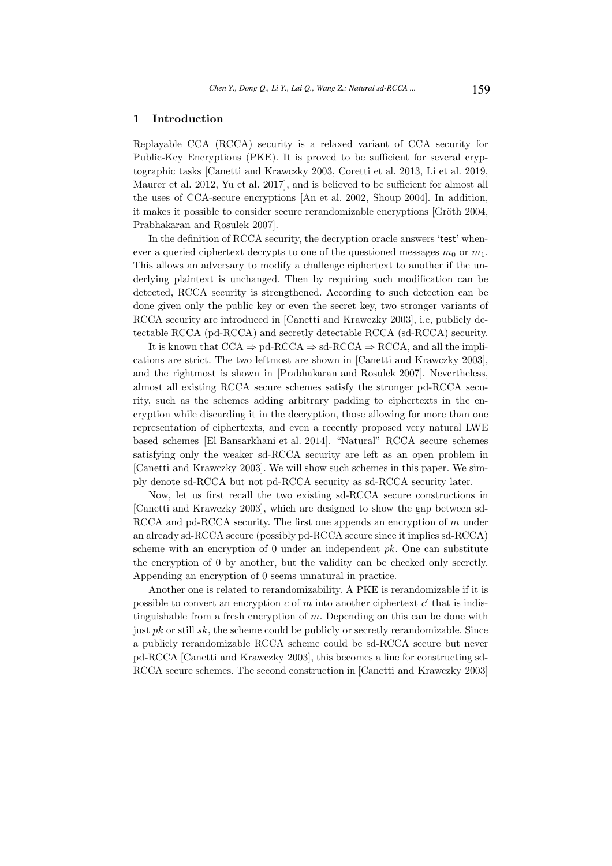## 1 Introduction

Replayable CCA (RCCA) security is a relaxed variant of CCA security for Public-Key Encryptions (PKE). It is proved to be sufficient for several cryptographic tasks [Canetti and Krawczky 2003, Coretti et al. 2013, Li et al. 2019, Maurer et al. 2012, Yu et al. 2017], and is believed to be sufficient for almost all the uses of CCA-secure encryptions [An et al. 2002, Shoup 2004]. In addition, it makes it possible to consider secure rerandomizable encryptions [Gröth 2004, Prabhakaran and Rosulek 2007].

In the definition of RCCA security, the decryption oracle answers 'test' whenever a queried ciphertext decrypts to one of the questioned messages  $m_0$  or  $m_1$ . This allows an adversary to modify a challenge ciphertext to another if the underlying plaintext is unchanged. Then by requiring such modification can be detected, RCCA security is strengthened. According to such detection can be done given only the public key or even the secret key, two stronger variants of RCCA security are introduced in [Canetti and Krawczky 2003], i.e, publicly detectable RCCA (pd-RCCA) and secretly detectable RCCA (sd-RCCA) security.

It is known that  $CCA \Rightarrow$  pd-RCCA  $\Rightarrow$  sd-RCCA  $\Rightarrow$  RCCA, and all the implications are strict. The two leftmost are shown in [Canetti and Krawczky 2003], and the rightmost is shown in [Prabhakaran and Rosulek 2007]. Nevertheless, almost all existing RCCA secure schemes satisfy the stronger pd-RCCA security, such as the schemes adding arbitrary padding to ciphertexts in the encryption while discarding it in the decryption, those allowing for more than one representation of ciphertexts, and even a recently proposed very natural LWE based schemes [El Bansarkhani et al. 2014]. "Natural" RCCA secure schemes satisfying only the weaker sd-RCCA security are left as an open problem in [Canetti and Krawczky 2003]. We will show such schemes in this paper. We simply denote sd-RCCA but not pd-RCCA security as sd-RCCA security later.

Now, let us first recall the two existing sd-RCCA secure constructions in [Canetti and Krawczky 2003], which are designed to show the gap between sd-RCCA and pd-RCCA security. The first one appends an encryption of  $m$  under an already sd-RCCA secure (possibly pd-RCCA secure since it implies sd-RCCA) scheme with an encryption of 0 under an independent  $pk$ . One can substitute the encryption of 0 by another, but the validity can be checked only secretly. Appending an encryption of 0 seems unnatural in practice.

Another one is related to rerandomizability. A PKE is rerandomizable if it is possible to convert an encryption  $c$  of  $m$  into another ciphertext  $c'$  that is indistinguishable from a fresh encryption of  $m$ . Depending on this can be done with just  $pk$  or still  $sk$ , the scheme could be publicly or secretly rerandomizable. Since a publicly rerandomizable RCCA scheme could be sd-RCCA secure but never pd-RCCA [Canetti and Krawczky 2003], this becomes a line for constructing sd-RCCA secure schemes. The second construction in [Canetti and Krawczky 2003]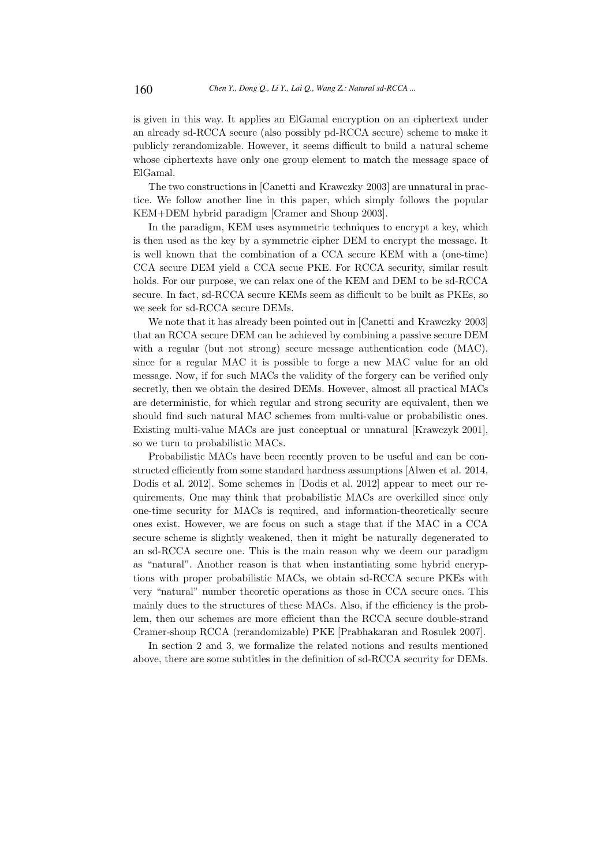is given in this way. It applies an ElGamal encryption on an ciphertext under an already sd-RCCA secure (also possibly pd-RCCA secure) scheme to make it publicly rerandomizable. However, it seems difficult to build a natural scheme whose ciphertexts have only one group element to match the message space of ElGamal.

The two constructions in [Canetti and Krawczky 2003] are unnatural in practice. We follow another line in this paper, which simply follows the popular KEM+DEM hybrid paradigm [Cramer and Shoup 2003].

In the paradigm, KEM uses asymmetric techniques to encrypt a key, which is then used as the key by a symmetric cipher DEM to encrypt the message. It is well known that the combination of a CCA secure KEM with a (one-time) CCA secure DEM yield a CCA secue PKE. For RCCA security, similar result holds. For our purpose, we can relax one of the KEM and DEM to be sd-RCCA secure. In fact, sd-RCCA secure KEMs seem as difficult to be built as PKEs, so we seek for sd-RCCA secure DEMs.

We note that it has already been pointed out in [Canetti and Krawczky 2003] that an RCCA secure DEM can be achieved by combining a passive secure DEM with a regular (but not strong) secure message authentication code (MAC), since for a regular MAC it is possible to forge a new MAC value for an old message. Now, if for such MACs the validity of the forgery can be verified only secretly, then we obtain the desired DEMs. However, almost all practical MACs are deterministic, for which regular and strong security are equivalent, then we should find such natural MAC schemes from multi-value or probabilistic ones. Existing multi-value MACs are just conceptual or unnatural [Krawczyk 2001], so we turn to probabilistic MACs.

Probabilistic MACs have been recently proven to be useful and can be constructed efficiently from some standard hardness assumptions [Alwen et al. 2014, Dodis et al. 2012]. Some schemes in [Dodis et al. 2012] appear to meet our requirements. One may think that probabilistic MACs are overkilled since only one-time security for MACs is required, and information-theoretically secure ones exist. However, we are focus on such a stage that if the MAC in a CCA secure scheme is slightly weakened, then it might be naturally degenerated to an sd-RCCA secure one. This is the main reason why we deem our paradigm as "natural". Another reason is that when instantiating some hybrid encryptions with proper probabilistic MACs, we obtain sd-RCCA secure PKEs with very "natural" number theoretic operations as those in CCA secure ones. This mainly dues to the structures of these MACs. Also, if the efficiency is the problem, then our schemes are more efficient than the RCCA secure double-strand Cramer-shoup RCCA (rerandomizable) PKE [Prabhakaran and Rosulek 2007].

In section 2 and 3, we formalize the related notions and results mentioned above, there are some subtitles in the definition of sd-RCCA security for DEMs.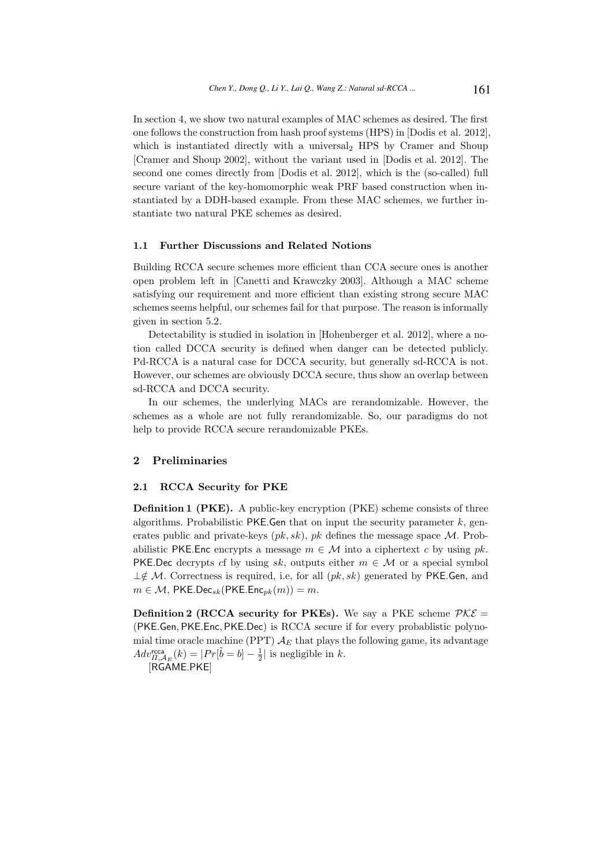In section 4, we show two natural examples of MAC schemes as desired. The first one follows the construction from hash proof systems (HPS) in [Dodis et al. 2012], which is instantiated directly with a universal<sub>2</sub> HPS by Cramer and Shoup [Cramer and Shoup 2002], without the variant used in [Dodis et al. 2012]. The second one comes directly from [Dodis et al. 2012], which is the (so-called) full secure variant of the key-homomorphic weak PRF based construction when instantiated by a DDH-based example. From these MAC schemes, we further instantiate two natural PKE schemes as desired.

#### 1.1 Further Discussions and Related Notions

Building RCCA secure schemes more efficient than CCA secure ones is another open problem left in [Canetti and Krawczky 2003]. Although a MAC scheme satisfying our requirement and more efficient than existing strong secure MAC schemes seems helpful, our schemes fail for that purpose. The reason is informally given in section 5.2.

Detectability is studied in isolation in [Hohenberger et al. 2012], where a notion called DCCA security is defined when danger can be detected publicly. Pd-RCCA is a natural case for DCCA security, but generally sd-RCCA is not. However, our schemes are obviously DCCA secure, thus show an overlap between sd-RCCA and DCCA security.

In our schemes, the underlying MACs are rerandomizable. However, the schemes as a whole are not fully rerandomizable. So, our paradigms do not help to provide RCCA secure rerandomizable PKEs.

### 2 Preliminaries

#### 2.1 RCCA Security for PKE

Definition 1 (PKE). A public-key encryption (PKE) scheme consists of three algorithms. Probabilistic PKE. Gen that on input the security parameter  $k$ , generates public and private-keys  $(pk, sk)$ , pk defines the message space M. Probabilistic PKE.Enc encrypts a message  $m \in \mathcal{M}$  into a ciphertext c by using pk. PKE.Dec decrypts cf by using sk, outputs either  $m \in \mathcal{M}$  or a special symbol  $\perp \notin \mathcal{M}$ . Correctness is required, i.e, for all  $(pk, sk)$  generated by PKE.Gen, and  $m \in \mathcal{M}$ , PKE.Dec<sub>sk</sub>(PKE.Enc<sub>pk</sub> $(m)) = m$ .

**Definition 2 (RCCA security for PKEs).** We say a PKE scheme  $PKE =$ (PKE.Gen, PKE.Enc, PKE.Dec) is RCCA secure if for every probablistic polynomial time oracle machine (PPT)  $A_E$  that plays the following game, its advantage  $Adv_{\Pi,\mathcal{A}_E}^{\text{rcca}}(k) = |Pr[\tilde{b} = b] - \frac{1}{2}|$  is negligible in k. [RGAME.PKE]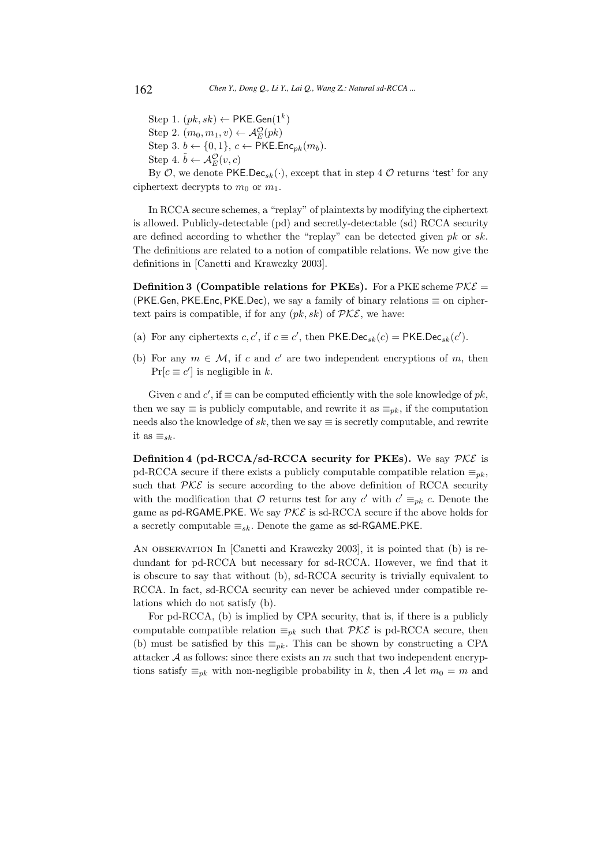Step 1.  $(pk, sk) \leftarrow \mathsf{PKE}.\mathsf{Gen}(1^k)$ Step 2.  $(m_0, m_1, v) \leftarrow \mathcal{A}_E^{\mathcal{O}}(pk)$ Step 3.  $b \leftarrow \{0, 1\}$ ,  $c \leftarrow \textsf{PKE}$ . Enc<sub>pk</sub> $(m_b)$ . Step 4.  $\tilde{b} \leftarrow \mathcal{A}_{E}^{\mathcal{O}}(v, c)$ 

By  $\mathcal{O}$ , we denote PKE.Dec<sub>sk</sub>(·), except that in step 4  $\mathcal{O}$  returns 'test' for any ciphertext decrypts to  $m_0$  or  $m_1$ .

In RCCA secure schemes, a "replay" of plaintexts by modifying the ciphertext is allowed. Publicly-detectable (pd) and secretly-detectable (sd) RCCA security are defined according to whether the "replay" can be detected given  $pk$  or  $sk$ . The definitions are related to a notion of compatible relations. We now give the definitions in [Canetti and Krawczky 2003].

Definition 3 (Compatible relations for PKEs). For a PKE scheme  $PKE =$ (PKE.Gen, PKE.Enc, PKE.Dec), we say a family of binary relations  $\equiv$  on ciphertext pairs is compatible, if for any  $(pk, sk)$  of  $PKE$ , we have:

- (a) For any ciphertexts  $c, c'$ , if  $c \equiv c'$ , then PKE.Dec<sub>sk</sub> $(c)$  = PKE.Dec<sub>sk</sub> $(c')$ .
- (b) For any  $m \in \mathcal{M}$ , if c and c' are two independent encryptions of m, then  $Pr[c \equiv c']$  is negligible in k.

Given c and c', if  $\equiv$  can be computed efficiently with the sole knowledge of  $pk$ , then we say  $\equiv$  is publicly computable, and rewrite it as  $\equiv_{pk}$ , if the computation needs also the knowledge of sk, then we say  $\equiv$  is secretly computable, and rewrite it as  $\equiv_{sk}$ .

**Definition 4 (pd-RCCA/sd-RCCA security for PKEs).** We say  $\mathcal{PKE}$  is pd-RCCA secure if there exists a publicly computable compatible relation  $\equiv_{pk}$ , such that  $PKE$  is secure according to the above definition of RCCA security with the modification that  $\mathcal O$  returns test for any  $c'$  with  $c' \equiv_{pk} c$ . Denote the game as pd-RGAME.PKE. We say  $PKE$  is sd-RCCA secure if the above holds for a secretly computable  $\equiv_{sk}$ . Denote the game as sd-RGAME.PKE.

An observation In [Canetti and Krawczky 2003], it is pointed that (b) is redundant for pd-RCCA but necessary for sd-RCCA. However, we find that it is obscure to say that without (b), sd-RCCA security is trivially equivalent to RCCA. In fact, sd-RCCA security can never be achieved under compatible relations which do not satisfy (b).

For pd-RCCA, (b) is implied by CPA security, that is, if there is a publicly computable compatible relation  $\equiv_{pk}$  such that  $\mathcal{PKE}$  is pd-RCCA secure, then (b) must be satisfied by this  $\equiv_{pk}$ . This can be shown by constructing a CPA attacker  $A$  as follows: since there exists an  $m$  such that two independent encryptions satisfy  $\equiv_{pk}$  with non-negligible probability in k, then A let  $m_0 = m$  and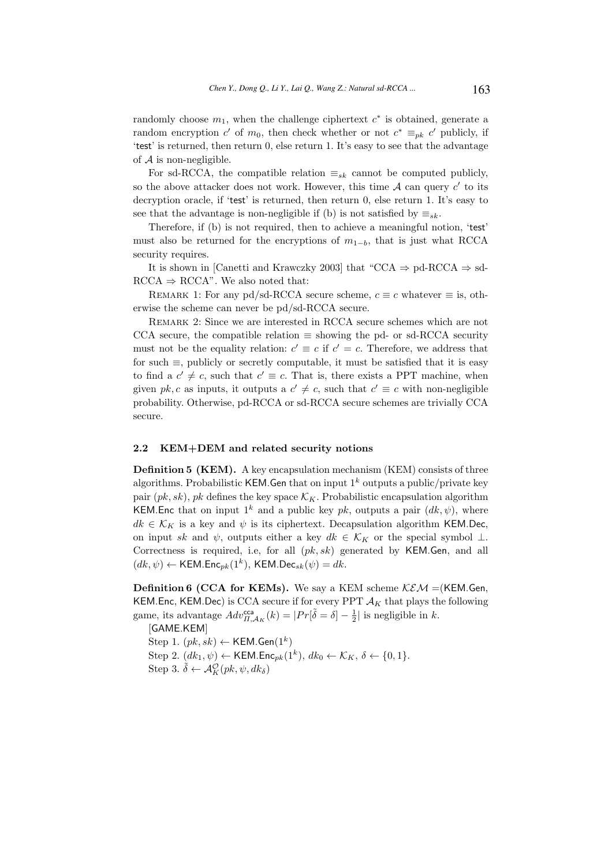randomly choose  $m_1$ , when the challenge ciphertext  $c^*$  is obtained, generate a random encryption c' of  $m_0$ , then check whether or not  $c^* \equiv_{pk} c'$  publicly, if 'test' is returned, then return 0, else return 1. It's easy to see that the advantage of  $A$  is non-negligible.

For sd-RCCA, the compatible relation  $\equiv_{sk}$  cannot be computed publicly, so the above attacker does not work. However, this time  $A$  can query  $c'$  to its decryption oracle, if 'test' is returned, then return 0, else return 1. It's easy to see that the advantage is non-negligible if (b) is not satisfied by  $\equiv_{sk}$ .

Therefore, if (b) is not required, then to achieve a meaningful notion, 'test' must also be returned for the encryptions of  $m_{1-b}$ , that is just what RCCA security requires.

It is shown in [Canetti and Krawczky 2003] that "CCA  $\Rightarrow$  pd-RCCA  $\Rightarrow$  sd- $RCCA \Rightarrow RCCA$ ". We also noted that:

REMARK 1: For any pd/sd-RCCA secure scheme,  $c \equiv c$  whatever  $\equiv$  is, otherwise the scheme can never be pd/sd-RCCA secure.

Remark 2: Since we are interested in RCCA secure schemes which are not CCA secure, the compatible relation  $\equiv$  showing the pd- or sd-RCCA security must not be the equality relation:  $c' \equiv c$  if  $c' = c$ . Therefore, we address that for such  $\equiv$ , publicly or secretly computable, it must be satisfied that it is easy to find a  $c' \neq c$ , such that  $c' \equiv c$ . That is, there exists a PPT machine, when given pk, c as inputs, it outputs a  $c' \neq c$ , such that  $c' \equiv c$  with non-negligible probability. Otherwise, pd-RCCA or sd-RCCA secure schemes are trivially CCA secure.

#### 2.2 KEM+DEM and related security notions

Definition 5 (KEM). A key encapsulation mechanism (KEM) consists of three algorithms. Probabilistic KEM. Gen that on input  $1^k$  outputs a public/private key pair  $(pk, sk)$ , pk defines the key space  $\mathcal{K}_K$ . Probabilistic encapsulation algorithm KEM. Enc that on input  $1^k$  and a public key pk, outputs a pair  $(dk, \psi)$ , where  $dk \in \mathcal{K}_K$  is a key and  $\psi$  is its ciphertext. Decapsulation algorithm KEM.Dec, on input sk and  $\psi$ , outputs either a key  $dk \in \mathcal{K}_K$  or the special symbol  $\bot$ . Correctness is required, i.e, for all  $(pk, sk)$  generated by KEM.Gen, and all  $(dk, \psi) \leftarrow \text{KEM}.\text{Enc}_{pk}(1^k), \text{KEM}.\text{Dec}_{sk}(\psi) = dk.$ 

**Definition 6 (CCA for KEMs).** We say a KEM scheme  $KEM = (KEM \cdot Gen,$ KEM.Enc, KEM.Dec) is CCA secure if for every PPT  $A_K$  that plays the following game, its advantage  $Adv_{\Pi,\mathcal{A}_K}^{\text{cca}}(k) = |Pr[\tilde{\delta} = \delta] - \frac{1}{2}|$  is negligible in k.

[GAME.KEM]

 $Step 1. (pk, sk) \leftarrow \mathsf{KEM}.\mathsf{Gen}(1^k)$ Step 2.  $(dk_1, \psi) \leftarrow \text{KEM}$ . Enc<sub>pk</sub> $(1^k)$ ,  $dk_0 \leftarrow \mathcal{K}_K$ ,  $\delta \leftarrow \{0, 1\}$ . Step 3.  $\tilde{\delta} \leftarrow \mathcal{A}_{K}^{\mathcal{O}}(pk, \psi, dk_{\delta})$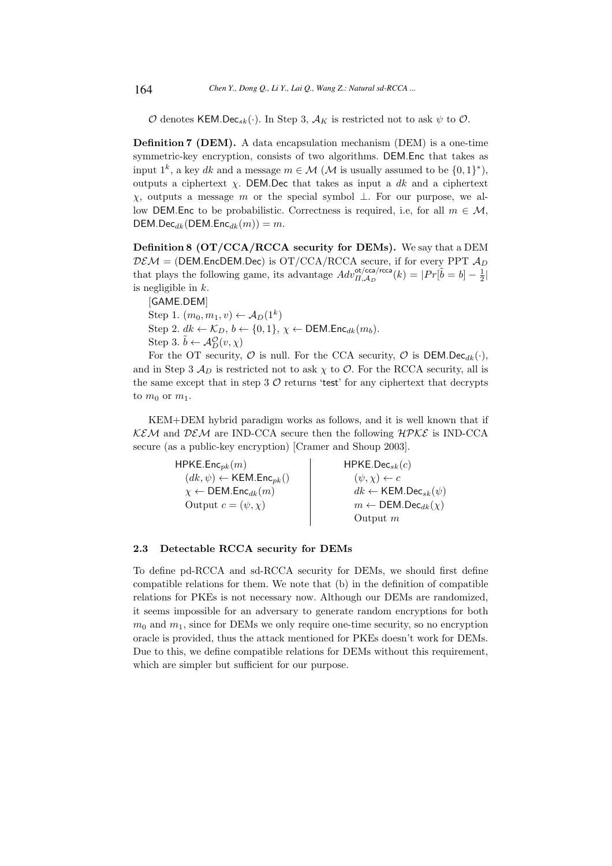$\mathcal O$  denotes KEM.Dec<sub>sk</sub>(·). In Step 3,  $\mathcal A_K$  is restricted not to ask  $\psi$  to  $\mathcal O$ .

Definition 7 (DEM). A data encapsulation mechanism (DEM) is a one-time symmetric-key encryption, consists of two algorithms. DEM.Enc that takes as input 1<sup>k</sup>, a key dk and a message  $m \in \mathcal{M}$  ( $\mathcal{M}$  is usually assumed to be  $\{0,1\}^*$ ), outputs a ciphertext  $\chi$ . DEM.Dec that takes as input a dk and a ciphertext χ, outputs a message m or the special symbol ⊥. For our purpose, we allow DEM.Enc to be probabilistic. Correctness is required, i.e. for all  $m \in \mathcal{M}$ ,  $DEM.Dec_{dk}(DEM.Enc_{dk}(m)) = m.$ 

Definition 8 (OT/CCA/RCCA security for DEMs). We say that a DEM  $DEM = (DEM. EncDEM. Dec)$  is  $OT/CCA/RCCA$  secure, if for every PPT  $A_D$ that plays the following game, its advantage  $Adv_{\Pi,AD}^{\text{ot/cca}/\text{rcca}}(k) = |Pr[\tilde{b} = b] - \frac{1}{2}|$ is negligible in k.

[GAME.DEM] Step 1.  $(m_0, m_1, v) \leftarrow A_D(1^k)$ Step 2.  $dk \leftarrow \mathcal{K}_D, b \leftarrow \{0, 1\}, \chi \leftarrow \mathsf{DEM}.\mathsf{Enc}_{dk}(m_b).$ Step 3.  $\tilde{b} \leftarrow \mathcal{A}_D^{\mathcal{O}}(v, \chi)$ 

For the OT security,  $\mathcal O$  is null. For the CCA security,  $\mathcal O$  is DEM.Dec<sub>dk</sub>(·), and in Step 3  $A_D$  is restricted not to ask  $\chi$  to  $\mathcal{O}$ . For the RCCA security, all is the same except that in step 3  $\mathcal O$  returns 'test' for any ciphertext that decrypts to  $m_0$  or  $m_1$ .

KEM+DEM hybrid paradigm works as follows, and it is well known that if  $KEM$  and  $DEM$  are IND-CCA secure then the following  $HPKE$  is IND-CCA secure (as a public-key encryption) [Cramer and Shoup 2003].

| $H$ PKE.Enc $_{pk}(m)$                                   | $H$ PKE.Dec <sub>sk</sub> $(c)$                      |
|----------------------------------------------------------|------------------------------------------------------|
| $(dk, \psi) \leftarrow \mathsf{KEM}.\mathsf{Enc}_{pk}()$ | $(\psi, \chi) \leftarrow c$                          |
| $\chi \leftarrow$ DEM. Enc <sub>dk</sub> $(m)$           | $dk \leftarrow \mathsf{KEM}.\mathsf{Dec}_{sk}(\psi)$ |
| Output $c = (\psi, \chi)$                                | $m \leftarrow \text{DEM.Dec}_{dk}(\chi)$             |
|                                                          | Output $m$                                           |

## 2.3 Detectable RCCA security for DEMs

To define pd-RCCA and sd-RCCA security for DEMs, we should first define compatible relations for them. We note that (b) in the definition of compatible relations for PKEs is not necessary now. Although our DEMs are randomized, it seems impossible for an adversary to generate random encryptions for both  $m_0$  and  $m_1$ , since for DEMs we only require one-time security, so no encryption oracle is provided, thus the attack mentioned for PKEs doesn't work for DEMs. Due to this, we define compatible relations for DEMs without this requirement, which are simpler but sufficient for our purpose.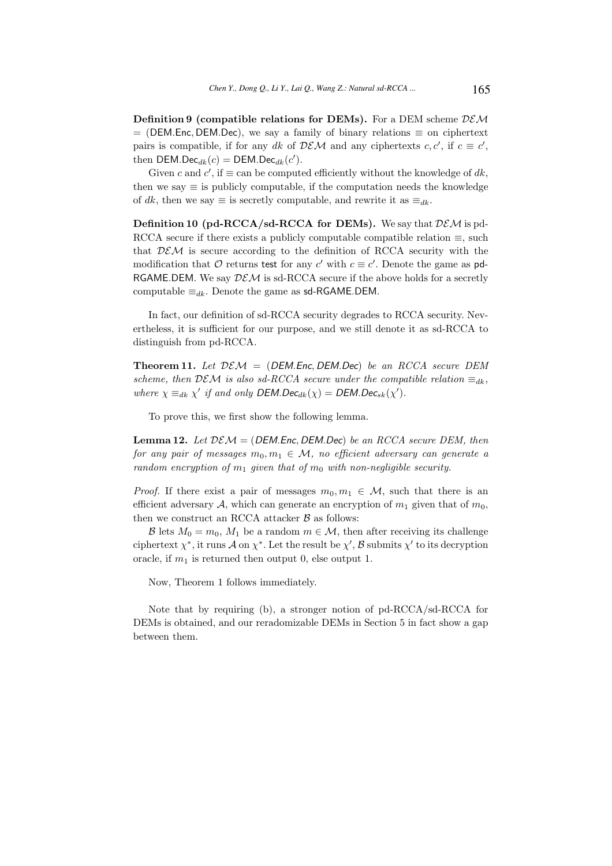**Definition 9 (compatible relations for DEMs).** For a DEM scheme  $DEM$  $=$  (DEM.Enc, DEM.Dec), we say a family of binary relations  $\equiv$  on ciphertext pairs is compatible, if for any dk of  $DEM$  and any ciphertexts  $c, c'$ , if  $c \equiv c'$ , then DEM.Dec<sub>dk</sub> $(c)$  = DEM.Dec<sub>dk</sub> $(c')$ .

Given c and c', if  $\equiv$  can be computed efficiently without the knowledge of dk, then we say  $\equiv$  is publicly computable, if the computation needs the knowledge of dk, then we say  $\equiv$  is secretly computable, and rewrite it as  $\equiv_{dk}$ .

**Definition 10 (pd-RCCA/sd-RCCA for DEMs).** We say that  $DEM$  is pd-RCCA secure if there exists a publicly computable compatible relation  $\equiv$ , such that  $DEM$  is secure according to the definition of RCCA security with the modification that  $\mathcal O$  returns test for any  $c'$  with  $c \equiv c'$ . Denote the game as pd-RGAME.DEM. We say  $DEM$  is sd-RCCA secure if the above holds for a secretly computable  $\equiv_{dk}$ . Denote the game as sd-RGAME.DEM.

In fact, our definition of sd-RCCA security degrades to RCCA security. Nevertheless, it is sufficient for our purpose, and we still denote it as sd-RCCA to distinguish from pd-RCCA.

**Theorem 11.** Let  $DEM = (DEM. Enc, DEM. Dec)$  be an RCCA secure DEM scheme, then  $DEM$  is also sd-RCCA secure under the compatible relation  $\equiv_{dk}$ , where  $\chi \equiv_{dk} \chi'$  if and only DEM.Dec<sub>dk</sub>( $\chi$ ) = DEM.Dec<sub>sk</sub>( $\chi'$ ).

To prove this, we first show the following lemma.

**Lemma 12.** Let  $DEM = (DEM. Enc, DEM. Dec)$  be an RCCA secure DEM, then for any pair of messages  $m_0, m_1 \in \mathcal{M}$ , no efficient adversary can generate a random encryption of  $m_1$  given that of  $m_0$  with non-negligible security.

*Proof.* If there exist a pair of messages  $m_0, m_1 \in \mathcal{M}$ , such that there is an efficient adversary A, which can generate an encryption of  $m_1$  given that of  $m_0$ , then we construct an RCCA attacker  $B$  as follows:

B lets  $M_0 = m_0$ ,  $M_1$  be a random  $m \in \mathcal{M}$ , then after receiving its challenge ciphertext  $\chi^*$ , it runs A on  $\chi^*$ . Let the result be  $\chi'$ , B submits  $\chi'$  to its decryption oracle, if  $m_1$  is returned then output 0, else output 1.

Now, Theorem 1 follows immediately.

Note that by requiring (b), a stronger notion of pd-RCCA/sd-RCCA for DEMs is obtained, and our reradomizable DEMs in Section 5 in fact show a gap between them.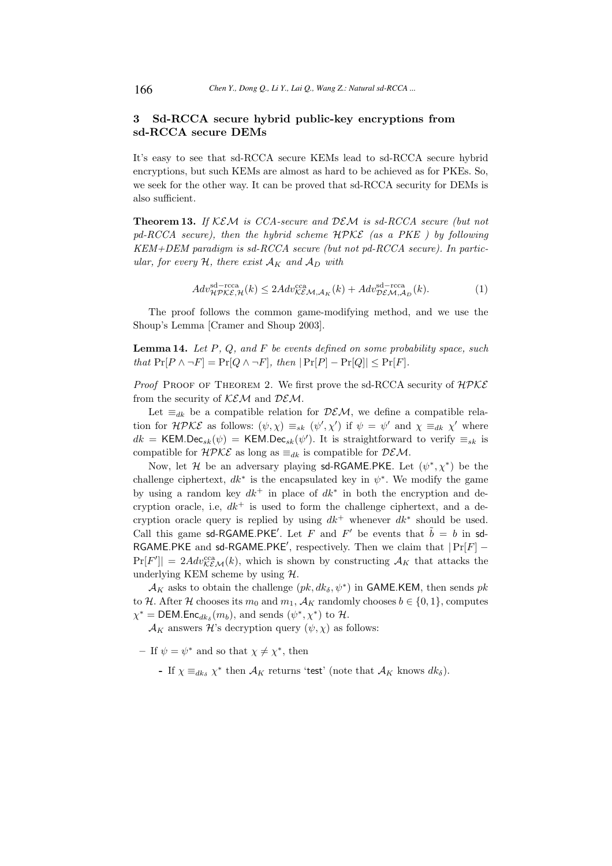## 3 Sd-RCCA secure hybrid public-key encryptions from sd-RCCA secure DEMs

It's easy to see that sd-RCCA secure KEMs lead to sd-RCCA secure hybrid encryptions, but such KEMs are almost as hard to be achieved as for PKEs. So, we seek for the other way. It can be proved that sd-RCCA security for DEMs is also sufficient.

**Theorem 13.** If KEM is CCA-secure and DEM is sd-RCCA secure (but not  $pd-RCCA$  secure), then the hybrid scheme  $H PKE$  (as a PKE) by following KEM+DEM paradigm is sd-RCCA secure (but not pd-RCCA secure). In particular, for every  $H$ , there exist  $A_K$  and  $A_D$  with

$$
Adv_{\mathcal{H}\mathcal{PKE},\mathcal{H}}^{\text{sd}-\text{rcca}}(k) \le 2Adv_{\mathcal{KEM},\mathcal{A}_K}^{\text{cca}}(k) + Adv_{\mathcal{DEM},\mathcal{A}_D}^{\text{sd}-\text{rcca}}(k). \tag{1}
$$

The proof follows the common game-modifying method, and we use the Shoup's Lemma [Cramer and Shoup 2003].

**Lemma 14.** Let  $P$ ,  $Q$ , and  $F$  be events defined on some probability space, such that  $Pr[P \wedge \neg F] = Pr[Q \wedge \neg F]$ , then  $|Pr[P] - Pr[Q]| \leq Pr[F]$ .

*Proof* PROOF OF THEOREM 2. We first prove the sd-RCCA security of  $H P K E$ from the security of  $KEM$  and  $DEM$ .

Let  $\equiv_{dk}$  be a compatible relation for  $DEM$ , we define a compatible relation for  $H P K \mathcal{E}$  as follows:  $(\psi, \chi) \equiv_{sk} (\psi', \chi')$  if  $\psi = \psi'$  and  $\chi \equiv_{dk} \chi'$  where  $dk = \text{KEM.Dec}_{sk}(\psi) = \text{KEM.Dec}_{sk}(\psi')$ . It is straightforward to verify  $\equiv_{sk}$  is compatible for  $H\mathcal{PKE}$  as long as  $\equiv_{dk}$  is compatible for  $\mathcal{DEM}$ .

Now, let H be an adversary playing sd-RGAME.PKE. Let  $(\psi^*, \chi^*)$  be the challenge ciphertext,  $dk^*$  is the encapsulated key in  $\psi^*$ . We modify the game by using a random key  $dk^+$  in place of  $dk^*$  in both the encryption and decryption oracle, i.e,  $dk^+$  is used to form the challenge ciphertext, and a decryption oracle query is replied by using  $dk^+$  whenever  $dk^*$  should be used. Call this game sd-RGAME.PKE'. Let F and F' be events that  $\tilde{b} = b$  in sd-RGAME.PKE and sd-RGAME.PKE', respectively. Then we claim that  $|Pr[F]$  –  $\Pr[F'] = 2Adv_{\mathcal{KEM}}^{\text{cca}}(k)$ , which is shown by constructing  $\mathcal{A}_K$  that attacks the underlying KEM scheme by using  $H$ .

 $\mathcal{A}_K$  asks to obtain the challenge  $(pk, dk_\delta, \psi^*)$  in GAME.KEM, then sends  $pk$ to H. After H chooses its  $m_0$  and  $m_1$ ,  $\mathcal{A}_K$  randomly chooses  $b \in \{0, 1\}$ , computes  $\chi^* = \text{DEM}.\text{Enc}_{dk_\delta}(m_b)$ , and sends  $(\psi^*, \chi^*)$  to  $\mathcal{H}$ .

 $\mathcal{A}_K$  answers  $\mathcal{H}$ 's decryption query  $(\psi, \chi)$  as follows:

- If  $\psi = \psi^*$  and so that  $\chi \neq \chi^*$ , then

- If  $\chi \equiv_{dk_{\delta}} \chi^*$  then  $\mathcal{A}_K$  returns 'test' (note that  $\mathcal{A}_K$  knows  $dk_{\delta}$ ).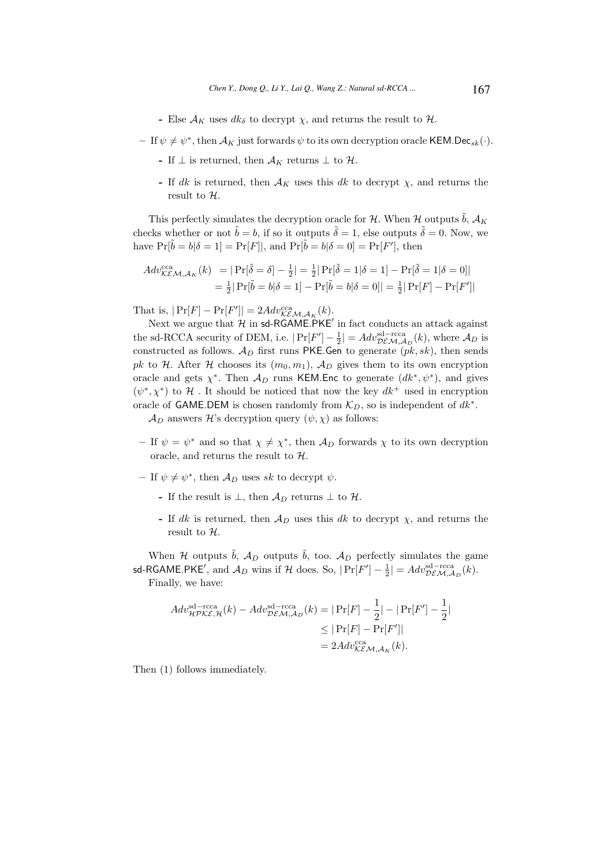- Else  $A_K$  uses  $dk_{\delta}$  to decrypt  $\chi$ , and returns the result to  $\mathcal{H}$ .
- $-$  If  $\psi \neq \psi^*$ , then  $\mathcal{A}_K$  just forwards  $\psi$  to its own decryption oracle KEM.Dec<sub>sk</sub>( $\cdot$ ).
	- If  $\perp$  is returned, then  $\mathcal{A}_K$  returns  $\perp$  to  $\mathcal{H}$ .
	- If dk is returned, then  $A_K$  uses this dk to decrypt  $\chi$ , and returns the result to  $H$ .

This perfectly simulates the decryption oracle for H. When H outputs  $\tilde{b}$ ,  $\mathcal{A}_K$ checks whether or not  $\tilde{b} = b$ , if so it outputs  $\tilde{\delta} = 1$ , else outputs  $\tilde{\delta} = 0$ . Now, we have  $Pr[\tilde{b} = b | \delta = 1] = Pr[F]$ , and  $Pr[\tilde{b} = b | \delta = 0] = Pr[F']$ , then

$$
Adv_{\mathcal{KEM},\mathcal{A}_K}^{\text{cca}}(k) = |\Pr[\tilde{\delta} = \delta] - \frac{1}{2}| = \frac{1}{2}|\Pr[\tilde{\delta} = 1|\delta = 1] - \Pr[\tilde{\delta} = 1|\delta = 0]|
$$
  
=  $\frac{1}{2}|\Pr[\tilde{b} = b|\delta = 1] - \Pr[\tilde{b} = b|\delta = 0]| = \frac{1}{2}|\Pr[F] - \Pr[F']|$ 

That is,  $|\Pr[F] - \Pr[F']| = 2Adv_{\mathcal{KEM}, \mathcal{A}_K}^{\text{cca}}(k).$ 

Next we argue that  $\mathcal H$  in sd-RGAME.PKE' in fact conducts an attack against the sd-RCCA security of DEM, i.e.  $|\Pr[F'] - \frac{1}{2}| = Adv_{DEM,A_D}^{sd-rcca}(k)$ , where  $A_D$  is constructed as follows.  $\mathcal{A}_D$  first runs PKE.Gen to generate  $(pk, sk)$ , then sends pk to H. After H chooses its  $(m_0, m_1)$ ,  $\mathcal{A}_D$  gives them to its own encryption oracle and gets  $\chi^*$ . Then  $\mathcal{A}_D$  runs KEM. Enc to generate  $(dk^*, \psi^*)$ , and gives  $(\psi^*, \chi^*)$  to H. It should be noticed that now the key  $dk^+$  used in encryption oracle of GAME.DEM is chosen randomly from  $\mathcal{K}_D$ , so is independent of  $dk^*$ .

 $\mathcal{A}_D$  answers H's decryption query  $(\psi, \chi)$  as follows:

- If  $\psi = \psi^*$  and so that  $\chi \neq \chi^*$ , then  $\mathcal{A}_D$  forwards  $\chi$  to its own decryption oracle, and returns the result to  $H$ .
- If  $\psi \neq \psi^*$ , then  $\mathcal{A}_D$  uses sk to decrypt  $\psi$ .
	- If the result is  $\perp$ , then  $\mathcal{A}_D$  returns  $\perp$  to  $\mathcal{H}$ .
	- If dk is returned, then  $\mathcal{A}_D$  uses this dk to decrypt  $\chi$ , and returns the result to H.

When H outputs  $\tilde{b}$ ,  $A_D$  outputs  $\tilde{b}$ , too.  $A_D$  perfectly simulates the game sd-RGAME.PKE', and  $\mathcal{A}_D$  wins if  $\mathcal{H}$  does. So,  $|\Pr[F'] - \frac{1}{2}| = Adv_{DE\mathcal{M},\mathcal{A}_D}^{sd-rcca}(k)$ . Finally, we have:

$$
Adv_{\mathcal{HPKE},\mathcal{H}}^{\text{sd}-\text{rcca}}(k) - Adv_{\mathcal{DEM},\mathcal{A}_D}^{\text{sd}-\text{rcca}}(k) = |\Pr[F] - \frac{1}{2}| - |\Pr[F'] - \frac{1}{2}|
$$
  

$$
\leq |\Pr[F] - \Pr[F']|
$$
  

$$
= 2Adv_{\mathcal{KEM},\mathcal{A}_K}^{\text{cca}}(k).
$$

Then (1) follows immediately.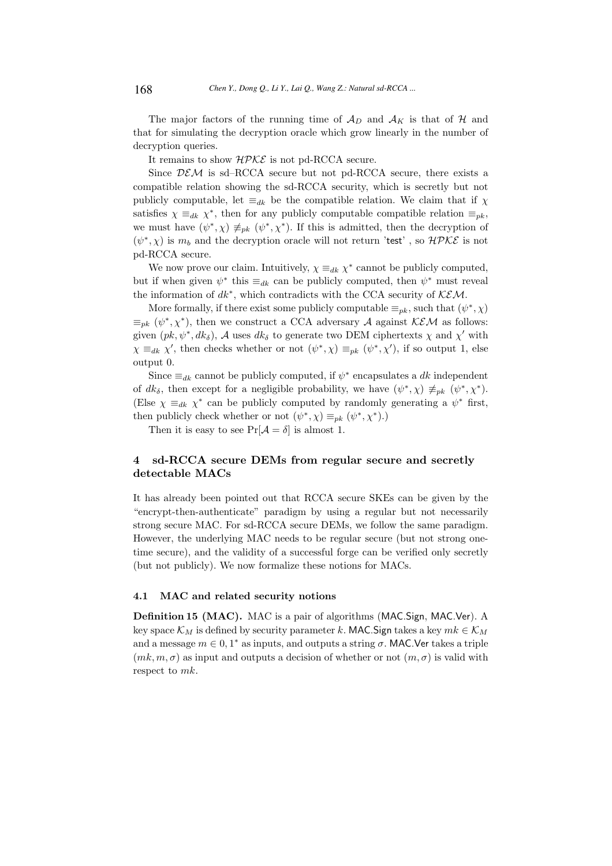The major factors of the running time of  $\mathcal{A}_D$  and  $\mathcal{A}_K$  is that of H and that for simulating the decryption oracle which grow linearly in the number of decryption queries.

It remains to show  $H\mathcal{PKE}$  is not pd-RCCA secure.

Since  $DEM$  is sd–RCCA secure but not pd-RCCA secure, there exists a compatible relation showing the sd-RCCA security, which is secretly but not publicly computable, let  $\equiv_{dk}$  be the compatible relation. We claim that if  $\chi$ satisfies  $\chi \equiv_{dk} \chi^*$ , then for any publicly computable compatible relation  $\equiv_{pk}$ , we must have  $(\psi^*, \chi) \neq_{pk} (\psi^*, \chi^*)$ . If this is admitted, then the decryption of  $(\psi^*, \chi)$  is  $m_b$  and the decryption oracle will not return 'test', so  $\mathcal{HPKE}$  is not pd-RCCA secure.

We now prove our claim. Intuitively,  $\chi \equiv_{dk} \chi^*$  cannot be publicly computed, but if when given  $\psi^*$  this  $\equiv_{dk}$  can be publicly computed, then  $\psi^*$  must reveal the information of  $dk^*$ , which contradicts with the CCA security of  $KEM$ .

More formally, if there exist some publicly computable  $\equiv_{pk}$ , such that  $(\psi^*, \chi)$  $\equiv_{pk} (\psi^*, \chi^*)$ , then we construct a CCA adversary A against KEM as follows: given  $(pk, \psi^*, dk_\delta)$ , A uses  $dk_\delta$  to generate two DEM ciphertexts  $\chi$  and  $\chi'$  with  $\chi \equiv_{dk} \chi'$ , then checks whether or not  $(\psi^*, \chi) \equiv_{pk} (\psi^*, \chi')$ , if so output 1, else output 0.

Since  $\equiv_{dk}$  cannot be publicly computed, if  $\psi^*$  encapsulates a dk independent of  $dk_{\delta}$ , then except for a negligible probability, we have  $(\psi^*, \chi) \neq_{pk} (\psi^*, \chi^*)$ . (Else  $\chi \equiv_{dk} \chi^*$  can be publicly computed by randomly generating a  $\psi^*$  first, then publicly check whether or not  $(\psi^*, \chi) \equiv_{pk} (\psi^*, \chi^*).$ 

Then it is easy to see  $Pr[\mathcal{A} = \delta]$  is almost 1.

## 4 sd-RCCA secure DEMs from regular secure and secretly detectable MACs

It has already been pointed out that RCCA secure SKEs can be given by the "encrypt-then-authenticate" paradigm by using a regular but not necessarily strong secure MAC. For sd-RCCA secure DEMs, we follow the same paradigm. However, the underlying MAC needs to be regular secure (but not strong onetime secure), and the validity of a successful forge can be verified only secretly (but not publicly). We now formalize these notions for MACs.

#### 4.1 MAC and related security notions

Definition 15 (MAC). MAC is a pair of algorithms (MAC.Sign, MAC.Ver). A key space  $\mathcal{K}_M$  is defined by security parameter k. MAC. Sign takes a key  $mk \in \mathcal{K}_M$ and a message  $m \in 0, 1^*$  as inputs, and outputs a string  $\sigma$ . MAC. Ver takes a triple  $(mk, m, \sigma)$  as input and outputs a decision of whether or not  $(m, \sigma)$  is valid with respect to mk.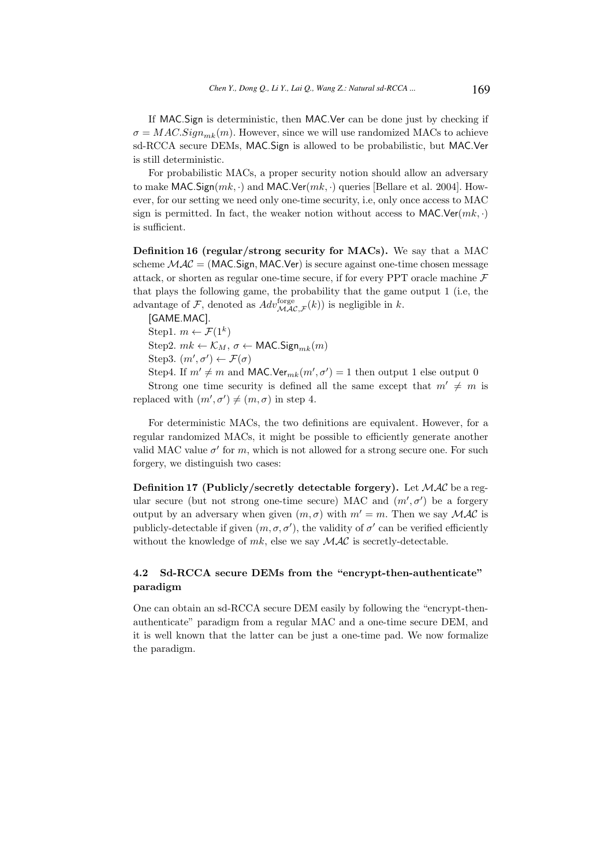If MAC.Sign is deterministic, then MAC.Ver can be done just by checking if  $\sigma = MAC.Sign_{mk}(m)$ . However, since we will use randomized MACs to achieve sd-RCCA secure DEMs, MAC.Sign is allowed to be probabilistic, but MAC.Ver is still deterministic.

For probabilistic MACs, a proper security notion should allow an adversary to make MAC.Sign $(mk, \cdot)$  and MAC.Ver $(mk, \cdot)$  queries [Bellare et al. 2004]. However, for our setting we need only one-time security, i.e, only once access to MAC sign is permitted. In fact, the weaker notion without access to MAC.Ver $(mk, \cdot)$ is sufficient.

Definition 16 (regular/strong security for MACs). We say that a MAC scheme  $\mathcal{MAC} = (\text{MAC} \cdot \text{Sign}, \text{MAC} \cdot \text{Ver})$  is secure against one-time chosen message attack, or shorten as regular one-time secure, if for every PPT oracle machine  $\mathcal F$ that plays the following game, the probability that the game output 1 (i.e, the advantage of F, denoted as  $Adv_{\mathcal{MAC}, \mathcal{F}}^{\text{forget}}(k)$  is negligible in k.

[GAME.MAC].

Step1.  $m \leftarrow \mathcal{F}(1^k)$ 

Step2.  $mk \leftarrow \mathcal{K}_M$ ,  $\sigma \leftarrow \textsf{MAC}.\textsf{Sign}_{mk}(m)$ 

Step3. 
$$
(m', \sigma') \leftarrow \mathcal{F}(\sigma)
$$

Step4. If  $m' \neq m$  and MAC.Ver<sub>mk</sub> $(m', \sigma') = 1$  then output 1 else output 0

Strong one time security is defined all the same except that  $m' \neq m$  is replaced with  $(m', \sigma') \neq (m, \sigma)$  in step 4.

For deterministic MACs, the two definitions are equivalent. However, for a regular randomized MACs, it might be possible to efficiently generate another valid MAC value  $\sigma'$  for m, which is not allowed for a strong secure one. For such forgery, we distinguish two cases:

**Definition 17 (Publicly/secretly detectable forgery).** Let  $MAC$  be a regular secure (but not strong one-time secure) MAC and  $(m', \sigma')$  be a forgery output by an adversary when given  $(m, \sigma)$  with  $m' = m$ . Then we say MAC is publicly-detectable if given  $(m, \sigma, \sigma')$ , the validity of  $\sigma'$  can be verified efficiently without the knowledge of  $mk$ , else we say  $MAC$  is secretly-detectable.

## 4.2 Sd-RCCA secure DEMs from the "encrypt-then-authenticate" paradigm

One can obtain an sd-RCCA secure DEM easily by following the "encrypt-thenauthenticate" paradigm from a regular MAC and a one-time secure DEM, and it is well known that the latter can be just a one-time pad. We now formalize the paradigm.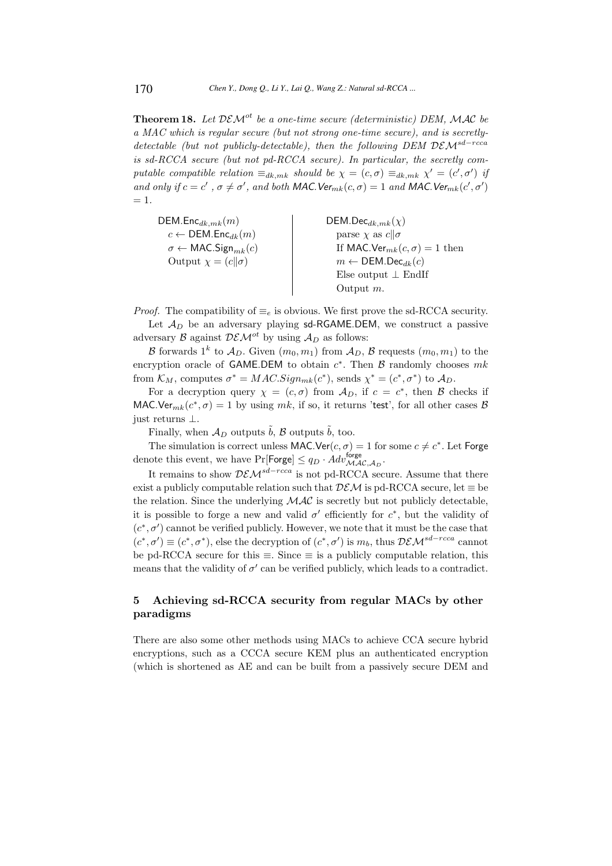**Theorem 18.** Let  $DEM^{ot}$  be a one-time secure (deterministic) DEM, MAC be a MAC which is regular secure (but not strong one-time secure), and is secretlydetectable (but not publicly-detectable), then the following DEM  $DEM^{sd-rcca}$ is sd-RCCA secure (but not pd-RCCA secure). In particular, the secretly computable compatible relation  $\equiv_{dk,mk}$  should be  $\chi = (c, \sigma) \equiv_{dk,mk} \chi' = (c', \sigma')$  if and only if  $c = c'$ ,  $\sigma \neq \sigma'$ , and both MAC. Ver<sub>mk</sub> $(c, \sigma) = 1$  and MAC. Ver<sub>mk</sub> $(c', \sigma')$  $= 1.$ 

| $DEM.Enc_{dk,mk}(m)$                             | $DEM.$ Dec $_{dk,mk}(\chi)$                     |
|--------------------------------------------------|-------------------------------------------------|
| $c \leftarrow \mathsf{DEM}.\mathsf{Enc}_{dk}(m)$ | parse $\chi$ as $c  \sigma$                     |
| $\sigma \leftarrow \text{MAC.Sign}_{mk}(c)$      | If MAC.Ver <sub>mk</sub> $(c, \sigma) = 1$ then |
| Output $\chi = (c  \sigma)$                      | $m \leftarrow \text{DEM.Dec}_{dk}(c)$           |
|                                                  | Else output $\perp$ EndIf                       |
|                                                  | Output $m$ .                                    |

*Proof.* The compatibility of  $\equiv_e$  is obvious. We first prove the sd-RCCA security. Let  $\mathcal{A}_D$  be an adversary playing sd-RGAME.DEM, we construct a passive adversary B against  $DEM^{ot}$  by using  $A_D$  as follows:

 $\mathcal B$  forwards  $1^k$  to  $\mathcal A_D$ . Given  $(m_0, m_1)$  from  $\mathcal A_D$ ,  $\mathcal B$  requests  $(m_0, m_1)$  to the encryption oracle of GAME.DEM to obtain  $c^*$ . Then  $\beta$  randomly chooses  $mk$ from  $\mathcal{K}_M$ , computes  $\sigma^* = MAC.Sign_{mk}(c^*)$ , sends  $\chi^* = (c^*, \sigma^*)$  to  $\mathcal{A}_D$ .

For a decryption query  $\chi = (c, \sigma)$  from  $\mathcal{A}_D$ , if  $c = c^*$ , then  $\mathcal B$  checks if MAC.Ver<sub>mk</sub> $(c^*, \sigma) = 1$  by using mk, if so, it returns 'test', for all other cases B just returns ⊥.

Finally, when  $\mathcal{A}_D$  outputs  $\tilde{b}$ ,  $\mathcal{B}$  outputs  $\tilde{b}$ , too.

The simulation is correct unless MAC.Ver $(c, \sigma) = 1$  for some  $c \neq c^*$ . Let Forge denote this event, we have  $Pr[\text{Forge}] \le q_D \cdot Adv_{\mathcal{MAC}, A_D}^{\text{forge}}$ .

It remains to show  $D\mathcal{EM}^{sd-rcca}$  is not pd-RCCA secure. Assume that there exist a publicly computable relation such that  $DEM$  is pd-RCCA secure, let  $\equiv$  be the relation. Since the underlying  $\mathcal{MAC}$  is secretly but not publicly detectable, it is possible to forge a new and valid  $\sigma'$  efficiently for  $c^*$ , but the validity of  $(c^*, \sigma')$  cannot be verified publicly. However, we note that it must be the case that  $(c^*, \sigma') \equiv (c^*, \sigma^*)$ , else the decryption of  $(c^*, \sigma')$  is  $m_b$ , thus  $\mathcal{D}\mathcal{EM}^{sd-rcca}$  cannot be pd-RCCA secure for this  $\equiv$ . Since  $\equiv$  is a publicly computable relation, this means that the validity of  $\sigma'$  can be verified publicly, which leads to a contradict.

## 5 Achieving sd-RCCA security from regular MACs by other paradigms

There are also some other methods using MACs to achieve CCA secure hybrid encryptions, such as a CCCA secure KEM plus an authenticated encryption (which is shortened as AE and can be built from a passively secure DEM and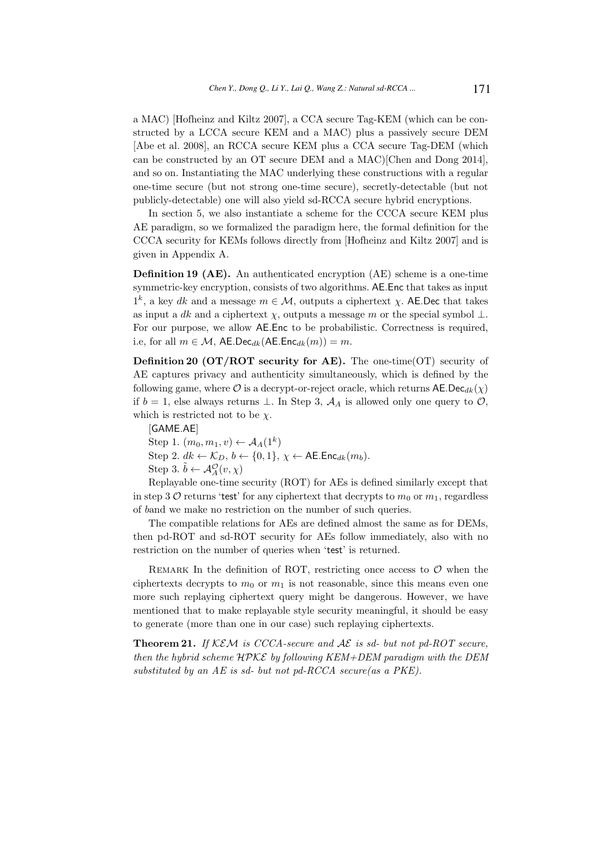a MAC) [Hofheinz and Kiltz 2007], a CCA secure Tag-KEM (which can be constructed by a LCCA secure KEM and a MAC) plus a passively secure DEM [Abe et al. 2008], an RCCA secure KEM plus a CCA secure Tag-DEM (which can be constructed by an OT secure DEM and a MAC)[Chen and Dong 2014], and so on. Instantiating the MAC underlying these constructions with a regular one-time secure (but not strong one-time secure), secretly-detectable (but not publicly-detectable) one will also yield sd-RCCA secure hybrid encryptions.

In section 5, we also instantiate a scheme for the CCCA secure KEM plus AE paradigm, so we formalized the paradigm here, the formal definition for the CCCA security for KEMs follows directly from [Hofheinz and Kiltz 2007] and is given in Appendix A.

Definition 19 (AE). An authenticated encryption (AE) scheme is a one-time symmetric-key encryption, consists of two algorithms. AE.Enc that takes as input  $1^k$ , a key dk and a message  $m \in \mathcal{M}$ , outputs a ciphertext  $\chi$ . AE.Dec that takes as input a dk and a ciphertext  $\chi$ , outputs a message m or the special symbol  $\bot$ . For our purpose, we allow AE.Enc to be probabilistic. Correctness is required, i.e, for all  $m \in \mathcal{M}$ , AE.Dec<sub>dk</sub>(AE.Enc<sub>dk</sub> $(m)) = m$ .

**Definition 20 (OT/ROT security for AE).** The one-time(OT) security of AE captures privacy and authenticity simultaneously, which is defined by the following game, where  $\mathcal O$  is a decrypt-or-reject oracle, which returns  $\mathsf{AE}.\mathsf{Dec}_{dk}(\chi)$ if  $b = 1$ , else always returns ⊥. In Step 3,  $A<sub>A</sub>$  is allowed only one query to  $\mathcal{O}$ , which is restricted not to be  $\chi$ .

[GAME.AE]

Step 1.  $(m_0, m_1, v) \leftarrow \mathcal{A}_A(1^k)$ Step 2.  $dk \leftarrow \mathcal{K}_D, b \leftarrow \{0, 1\}, \chi \leftarrow \mathsf{AE}.\mathsf{Enc}_{dk}(m_b).$ Step 3.  $\tilde{b} \leftarrow \mathcal{A}_{A}^{\mathcal{O}}(v, \chi)$ 

Replayable one-time security (ROT) for AEs is defined similarly except that in step 3 O returns 'test' for any ciphertext that decrypts to  $m_0$  or  $m_1$ , regardless of band we make no restriction on the number of such queries.

The compatible relations for AEs are defined almost the same as for DEMs, then pd-ROT and sd-ROT security for AEs follow immediately, also with no restriction on the number of queries when 'test' is returned.

REMARK In the definition of ROT, restricting once access to  $\mathcal O$  when the ciphertexts decrypts to  $m_0$  or  $m_1$  is not reasonable, since this means even one more such replaying ciphertext query might be dangerous. However, we have mentioned that to make replayable style security meaningful, it should be easy to generate (more than one in our case) such replaying ciphertexts.

**Theorem 21.** If KEM is CCCA-secure and  $AE$  is sd- but not pd-ROT secure, then the hybrid scheme  $H$ PKE by following KEM+DEM paradigm with the DEM substituted by an AE is sd- but not pd-RCCA secure(as a PKE).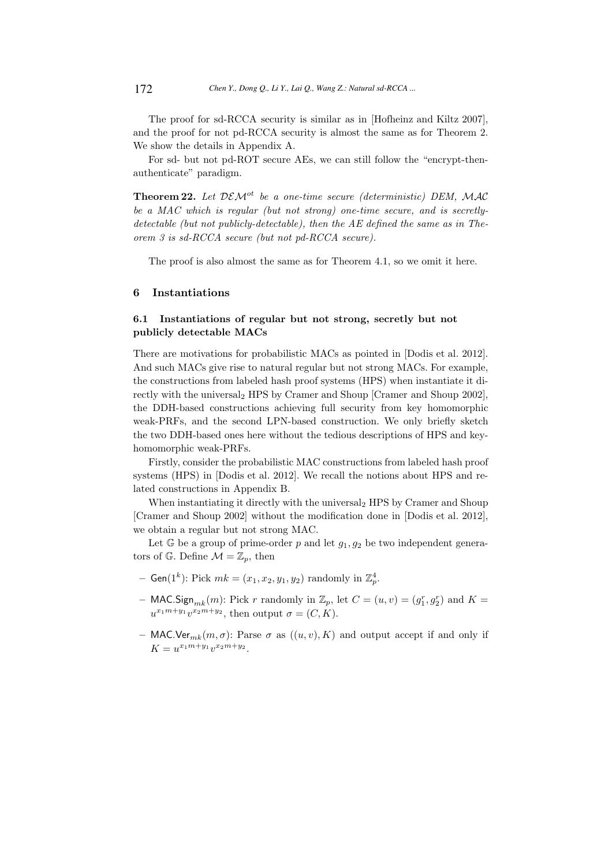The proof for sd-RCCA security is similar as in [Hofheinz and Kiltz 2007], and the proof for not pd-RCCA security is almost the same as for Theorem 2. We show the details in Appendix A.

For sd- but not pd-ROT secure AEs, we can still follow the "encrypt-thenauthenticate" paradigm.

Theorem 22. Let  $DEM^{ot}$  be a one-time secure (deterministic) DEM, MAC be a MAC which is regular (but not strong) one-time secure, and is secretlydetectable (but not publicly-detectable), then the AE defined the same as in Theorem 3 is sd-RCCA secure (but not pd-RCCA secure).

The proof is also almost the same as for Theorem 4.1, so we omit it here.

## 6 Instantiations

## 6.1 Instantiations of regular but not strong, secretly but not publicly detectable MACs

There are motivations for probabilistic MACs as pointed in [Dodis et al. 2012]. And such MACs give rise to natural regular but not strong MACs. For example, the constructions from labeled hash proof systems (HPS) when instantiate it directly with the universal<sub>2</sub> HPS by Cramer and Shoup [Cramer and Shoup 2002], the DDH-based constructions achieving full security from key homomorphic weak-PRFs, and the second LPN-based construction. We only briefly sketch the two DDH-based ones here without the tedious descriptions of HPS and keyhomomorphic weak-PRFs.

Firstly, consider the probabilistic MAC constructions from labeled hash proof systems (HPS) in [Dodis et al. 2012]. We recall the notions about HPS and related constructions in Appendix B.

When instantiating it directly with the universal<sub>2</sub> HPS by Cramer and Shoup [Cramer and Shoup 2002] without the modification done in [Dodis et al. 2012], we obtain a regular but not strong MAC.

Let  $\mathbb G$  be a group of prime-order p and let  $g_1, g_2$  be two independent generators of G. Define  $\mathcal{M} = \mathbb{Z}_p$ , then

- Gen(1<sup>k</sup>): Pick  $mk = (x_1, x_2, y_1, y_2)$  randomly in  $\mathbb{Z}_p^4$ .
- MAC.Sign<sub>mk</sub> $(m)$ : Pick r randomly in  $\mathbb{Z}_p$ , let  $C = (u, v) = (g_1^r, g_2^r)$  and  $K =$  $u^{x_1m+y_1}v^{x_2m+y_2}$ , then output  $\sigma = (C, K)$ .
- MAC.Ver<sub>mk</sub> $(m, \sigma)$ : Parse  $\sigma$  as  $((u, v), K)$  and output accept if and only if  $K = u^{x_1 m + y_1} v^{x_2 m + y_2}.$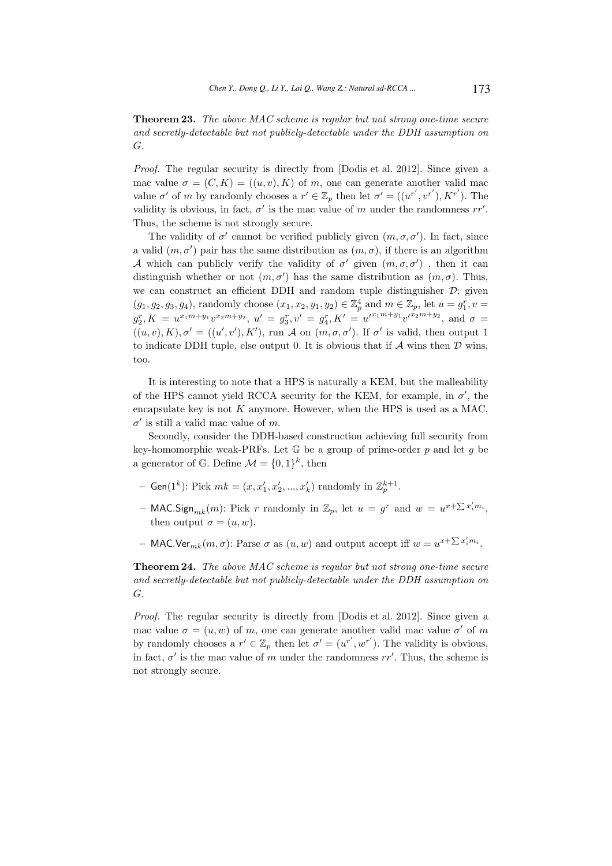Theorem 23. The above MAC scheme is regular but not strong one-time secure and secretly-detectable but not publicly-detectable under the DDH assumption on G.

Proof. The regular security is directly from [Dodis et al. 2012]. Since given a mac value  $\sigma = (C, K) = ((u, v), K)$  of m, one can generate another valid mac value  $\sigma'$  of m by randomly chooses a  $r' \in \mathbb{Z}_p$  then let  $\sigma' = ((u^{r'}, v^{r'}), K^{r'})$ . The validity is obvious, in fact,  $\sigma'$  is the mac value of m under the randomness  $rr'$ . Thus, the scheme is not strongly secure.

The validity of  $\sigma'$  cannot be verified publicly given  $(m, \sigma, \sigma')$ . In fact, since a valid  $(m, \sigma')$  pair has the same distribution as  $(m, \sigma)$ , if there is an algorithm A which can publicly verify the validity of  $\sigma'$  given  $(m, \sigma, \sigma')$ , then it can distinguish whether or not  $(m, \sigma')$  has the same distribution as  $(m, \sigma)$ . Thus, we can construct an efficient DDH and random tuple distinguisher  $\mathcal{D}$ : given  $(g_1, g_2, g_3, g_4)$ , randomly choose  $(x_1, x_2, y_1, y_2) \in \mathbb{Z}_p^4$  and  $m \in \mathbb{Z}_p$ , let  $u = g_1^r$ ,  $v =$  $g_2^r, K = u^{x_1m+y_1}v^{x_2m+y_2}, u' = g_3^r, v' = g_4^r, K' = u'^{x_1m+y_1}v'^{x_2m+y_2}, \text{ and } \sigma =$  $((u, v), K), \sigma' = ((u', v'), K'), \text{ run } \mathcal{A} \text{ on } (m, \sigma, \sigma'). \text{ If } \sigma' \text{ is valid, then output } 1$ to indicate DDH tuple, else output 0. It is obvious that if  $A$  wins then  $D$  wins, too.

It is interesting to note that a HPS is naturally a KEM, but the malleability of the HPS cannot yield RCCA security for the KEM, for example, in  $\sigma'$ , the encapsulate key is not  $K$  anymore. However, when the HPS is used as a MAC,  $\sigma'$  is still a valid mac value of m.

Secondly, consider the DDH-based construction achieving full security from key-homomorphic weak-PRFs. Let  $\mathbb G$  be a group of prime-order p and let g be a generator of G. Define  $\mathcal{M} = \{0, 1\}^k$ , then

- Gen(1<sup>k</sup>): Pick  $mk = (x, x'_1, x'_2, ..., x'_k)$  randomly in  $\mathbb{Z}_p^{k+1}$ .
- MAC.Sign<sub>mk</sub> $(m)$ : Pick r randomly in  $\mathbb{Z}_p$ , let  $u = g^r$  and  $w = u^{x + \sum x'_i m_i}$ , then output  $\sigma = (u, w)$ .
- MAC.Ver<sub>mk</sub> $(m, \sigma)$ : Parse  $\sigma$  as  $(u, w)$  and output accept iff  $w = u^{x + \sum x'_i m_i}$ .

Theorem 24. The above MAC scheme is regular but not strong one-time secure and secretly-detectable but not publicly-detectable under the DDH assumption on G.

Proof. The regular security is directly from [Dodis et al. 2012]. Since given a mac value  $\sigma = (u, w)$  of m, one can generate another valid mac value  $\sigma'$  of m by randomly chooses a  $r' \in \mathbb{Z}_p$  then let  $\sigma' = (u^{r'}, w^{r'})$ . The validity is obvious, in fact,  $\sigma'$  is the mac value of m under the randomness  $rr'$ . Thus, the scheme is not strongly secure.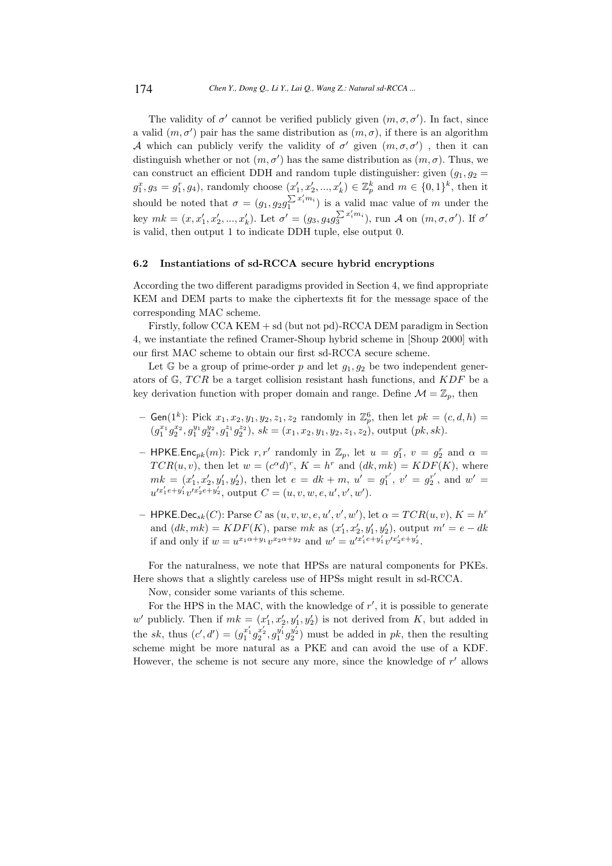The validity of  $\sigma'$  cannot be verified publicly given  $(m, \sigma, \sigma')$ . In fact, since a valid  $(m, \sigma')$  pair has the same distribution as  $(m, \sigma)$ , if there is an algorithm A which can publicly verify the validity of  $\sigma'$  given  $(m, \sigma, \sigma')$ , then it can distinguish whether or not  $(m, \sigma')$  has the same distribution as  $(m, \sigma)$ . Thus, we can construct an efficient DDH and random tuple distinguisher: given  $(g_1, g_2 =$  $g_1^x, g_3 = g_1^r, g_4$ ), randomly choose  $(x'_1, x'_2, ..., x'_k) \in \mathbb{Z}_p^k$  and  $m \in \{0, 1\}^k$ , then it should be noted that  $\sigma = (g_1, g_2 g_1^{\sum x'_i m_i})$  is a valid mac value of m under the key  $mk = (x, x'_1, x'_2, ..., x'_k)$ . Let  $\sigma' = (g_3, g_4 g_3^{\sum x'_i m_i})$ , run A on  $(m, \sigma, \sigma')$ . If  $\sigma'$ is valid, then output 1 to indicate DDH tuple, else output 0.

## 6.2 Instantiations of sd-RCCA secure hybrid encryptions

According the two different paradigms provided in Section 4, we find appropriate KEM and DEM parts to make the ciphertexts fit for the message space of the corresponding MAC scheme.

Firstly, follow CCA KEM + sd (but not pd)-RCCA DEM paradigm in Section 4, we instantiate the refined Cramer-Shoup hybrid scheme in [Shoup 2000] with our first MAC scheme to obtain our first sd-RCCA secure scheme.

Let  $\mathbb G$  be a group of prime-order p and let  $g_1, g_2$  be two independent generators of  $\mathbb{G}$ , TCR be a target collision resistant hash functions, and KDF be a key derivation function with proper domain and range. Define  $\mathcal{M} = \mathbb{Z}_p$ , then

- Gen(1<sup>k</sup>): Pick  $x_1, x_2, y_1, y_2, z_1, z_2$  randomly in  $\mathbb{Z}_p^6$ , then let  $pk = (c, d, h)$  =  $(g_1^{x_1}g_2^{x_2}, g_1^{y_1}g_2^{y_2}, g_1^{z_1}g_2^{z_2}), \, sk = (x_1, x_2, y_1, y_2, z_1, z_2), \, \text{output } (pk, sk).$
- HPKE.Enc<sub>pk</sub> $(m)$ : Pick r, r' randomly in  $\mathbb{Z}_p$ , let  $u = g_1^r$ ,  $v = g_2^r$  and  $\alpha =$  $TCR(u, v)$ , then let  $w = (c^{\alpha}d)^r$ ,  $K = h^r$  and  $(dk, mk) = KDF(K)$ , where  $mk = (x'_1, x'_2, y'_1, y'_2)$ , then let  $e = dk + m$ ,  $u' = g_1^{r'}$  $j_1^{r'}$ ,  $v' = g_2^{r'}$  $x_2^{r'}$ , and  $w' =$  $u'^{x'_1e+y'_1}v'^{x'_2e+y'_2}, \text{ output } C = (u, v, w, e, u', v', w').$
- HPKE.Dec<sub>sk</sub> $(C)$ : Parse C as  $(u, v, w, e, u', v', w')$ , let  $\alpha = TCR(u, v), K = h^r$ and  $(dk, mk) = KDF(K)$ , parse mk as  $(x'_1, x'_2, y'_1, y'_2)$ , output  $m' = e - dk$ if and only if  $w = u^{x_1 \alpha + y_1} v^{x_2 \alpha + y_2}$  and  $w' = u'^{x'_1 e + y'_1} v'^{x'_2 e + y'_2}$ .

For the naturalness, we note that HPSs are natural components for PKEs. Here shows that a slightly careless use of HPSs might result in sd-RCCA.

Now, consider some variants of this scheme.

For the HPS in the MAC, with the knowledge of  $r'$ , it is possible to generate w' publicly. Then if  $mk = (x'_1, x'_2, y'_1, y'_2)$  is not derived from K, but added in the sk, thus  $(c', d') = (g_1^{x'_1} g_2^{x'_2}, g_1^{y'_1} g_2^{y'_2})$  must be added in pk, then the resulting scheme might be more natural as a PKE and can avoid the use of a KDF. However, the scheme is not secure any more, since the knowledge of  $r'$  allows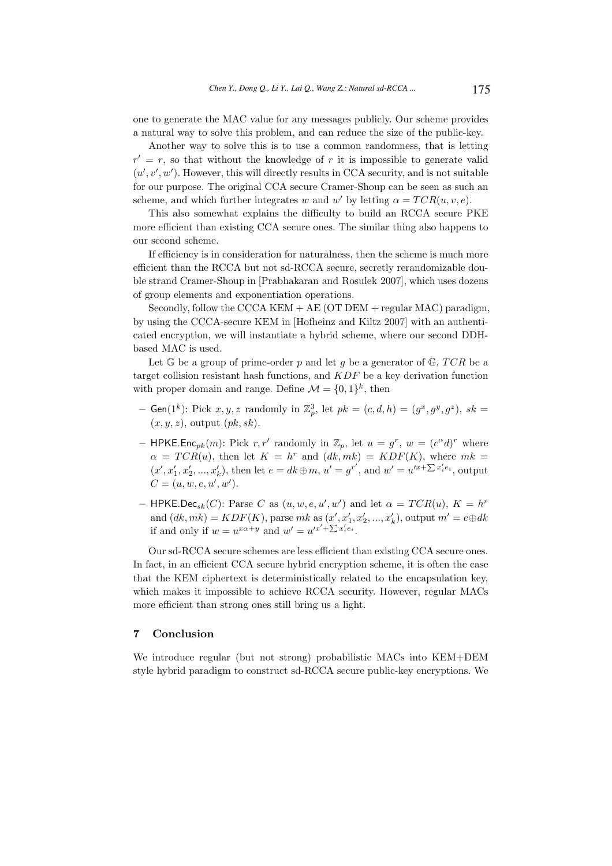one to generate the MAC value for any messages publicly. Our scheme provides a natural way to solve this problem, and can reduce the size of the public-key.

Another way to solve this is to use a common randomness, that is letting  $r' = r$ , so that without the knowledge of r it is impossible to generate valid  $(u', v', w')$ . However, this will directly results in CCA security, and is not suitable for our purpose. The original CCA secure Cramer-Shoup can be seen as such an scheme, and which further integrates w and w' by letting  $\alpha = TCR(u, v, e)$ .

This also somewhat explains the difficulty to build an RCCA secure PKE more efficient than existing CCA secure ones. The similar thing also happens to our second scheme.

If efficiency is in consideration for naturalness, then the scheme is much more efficient than the RCCA but not sd-RCCA secure, secretly rerandomizable double strand Cramer-Shoup in [Prabhakaran and Rosulek 2007], which uses dozens of group elements and exponentiation operations.

Secondly, follow the CCCA KEM + AE (OT DEM + regular MAC) paradigm, by using the CCCA-secure KEM in [Hofheinz and Kiltz 2007] with an authenticated encryption, we will instantiate a hybrid scheme, where our second DDHbased MAC is used.

Let  $\mathbb{G}$  be a group of prime-order p and let g be a generator of  $\mathbb{G}$ , TCR be a target collision resistant hash functions, and KDF be a key derivation function with proper domain and range. Define  $\mathcal{M} = \{0, 1\}^k$ , then

- Gen(1<sup>k</sup>): Pick  $x, y, z$  randomly in  $\mathbb{Z}_p^3$ , let  $pk = (c, d, h) = (g^x, g^y, g^z)$ ,  $sk =$  $(x, y, z)$ , output  $(pk, sk)$ .
- HPKE.Enc<sub>pk</sub> $(m)$ : Pick r, r' randomly in  $\mathbb{Z}_p$ , let  $u = g^r$ ,  $w = (c^{\alpha}d)^r$  where  $\alpha = TCR(u)$ , then let  $K = h^r$  and  $(dk, mk) = KDF(K)$ , where  $mk =$  $(x', x'_1, x'_2, ..., x'_k)$ , then let  $e = dk \oplus m$ ,  $u' = g^{r'}$ , and  $w' = u'^{x + \sum x'_i e_i}$ , output  $C = (u, w, e, u', w').$
- HPKE.Dec<sub>sk</sub> $(C)$ : Parse C as  $(u, w, e, u', w')$  and let  $\alpha = TCR(u), K = h^r$ and  $(dk,mk) = KDF(K)$ , parse  $mk$  as  $(x', x'_1, x'_2, ..., x'_k)$ , output  $m' = e \oplus dk$ if and only if  $w = u^{x\alpha+y}$  and  $w' = u'^{x'+\sum x'_i e_i}$ .

Our sd-RCCA secure schemes are less efficient than existing CCA secure ones. In fact, in an efficient CCA secure hybrid encryption scheme, it is often the case that the KEM ciphertext is deterministically related to the encapsulation key, which makes it impossible to achieve RCCA security. However, regular MACs more efficient than strong ones still bring us a light.

### 7 Conclusion

We introduce regular (but not strong) probabilistic MACs into KEM+DEM style hybrid paradigm to construct sd-RCCA secure public-key encryptions. We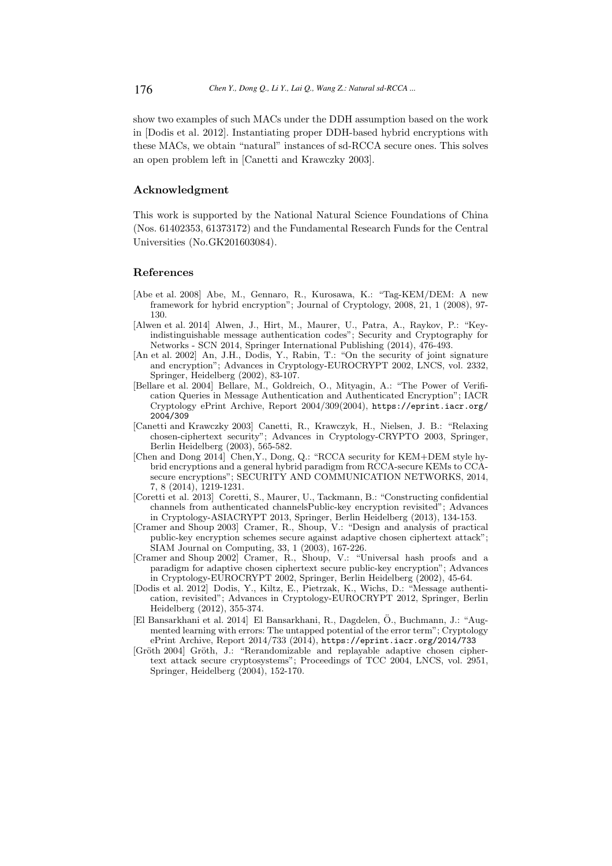show two examples of such MACs under the DDH assumption based on the work in [Dodis et al. 2012]. Instantiating proper DDH-based hybrid encryptions with these MACs, we obtain "natural" instances of sd-RCCA secure ones. This solves an open problem left in [Canetti and Krawczky 2003].

### Acknowledgment

This work is supported by the National Natural Science Foundations of China (Nos. 61402353, 61373172) and the Fundamental Research Funds for the Central Universities (No.GK201603084).

### References

- [Abe et al. 2008] Abe, M., Gennaro, R., Kurosawa, K.: "Tag-KEM/DEM: A new framework for hybrid encryption"; Journal of Cryptology, 2008, 21, 1 (2008), 97- 130.
- [Alwen et al. 2014] Alwen, J., Hirt, M., Maurer, U., Patra, A., Raykov, P.: "Keyindistinguishable message authentication codes"; Security and Cryptography for Networks - SCN 2014, Springer International Publishing (2014), 476-493.
- [An et al. 2002] An, J.H., Dodis, Y., Rabin, T.: "On the security of joint signature and encryption"; Advances in Cryptology-EUROCRYPT 2002, LNCS, vol. 2332, Springer, Heidelberg (2002), 83-107.
- [Bellare et al. 2004] Bellare, M., Goldreich, O., Mityagin, A.: "The Power of Verification Queries in Message Authentication and Authenticated Encryption"; IACR Cryptology ePrint Archive, Report 2004/309(2004), https://eprint.iacr.org/ 2004/309
- [Canetti and Krawczky 2003] Canetti, R., Krawczyk, H., Nielsen, J. B.: "Relaxing chosen-ciphertext security"; Advances in Cryptology-CRYPTO 2003, Springer, Berlin Heidelberg (2003), 565-582.
- [Chen and Dong 2014] Chen,Y., Dong, Q.: "RCCA security for KEM+DEM style hybrid encryptions and a general hybrid paradigm from RCCA-secure KEMs to CCAsecure encryptions"; SECURITY AND COMMUNICATION NETWORKS, 2014, 7, 8 (2014), 1219-1231.
- [Coretti et al. 2013] Coretti, S., Maurer, U., Tackmann, B.: "Constructing confidential channels from authenticated channelsPublic-key encryption revisited"; Advances in Cryptology-ASIACRYPT 2013, Springer, Berlin Heidelberg (2013), 134-153.
- [Cramer and Shoup 2003] Cramer, R., Shoup, V.: "Design and analysis of practical public-key encryption schemes secure against adaptive chosen ciphertext attack"; SIAM Journal on Computing, 33, 1 (2003), 167-226.
- [Cramer and Shoup 2002] Cramer, R., Shoup, V.: "Universal hash proofs and a paradigm for adaptive chosen ciphertext secure public-key encryption"; Advances in Cryptology-EUROCRYPT 2002, Springer, Berlin Heidelberg (2002), 45-64.
- [Dodis et al. 2012] Dodis, Y., Kiltz, E., Pietrzak, K., Wichs, D.: "Message authentication, revisited"; Advances in Cryptology-EUROCRYPT 2012, Springer, Berlin Heidelberg (2012), 355-374.
- [El Bansarkhani et al. 2014] El Bansarkhani, R., Dagdelen, O., Buchmann, J.: "Aug- ¨ mented learning with errors: The untapped potential of the error term"; Cryptology ePrint Archive, Report 2014/733 (2014), https://eprint.iacr.org/2014/733
- [Gröth 2004] Gröth, J.: "Rerandomizable and replayable adaptive chosen ciphertext attack secure cryptosystems"; Proceedings of TCC 2004, LNCS, vol. 2951, Springer, Heidelberg (2004), 152-170.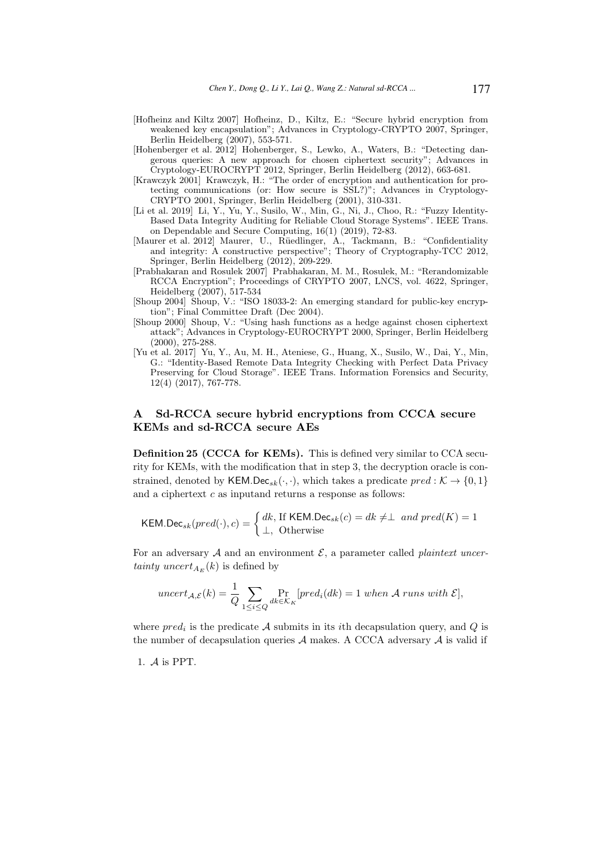- [Hofheinz and Kiltz 2007] Hofheinz, D., Kiltz, E.: "Secure hybrid encryption from weakened key encapsulation"; Advances in Cryptology-CRYPTO 2007, Springer, Berlin Heidelberg (2007), 553-571.
- [Hohenberger et al. 2012] Hohenberger, S., Lewko, A., Waters, B.: "Detecting dangerous queries: A new approach for chosen ciphertext security"; Advances in Cryptology-EUROCRYPT 2012, Springer, Berlin Heidelberg (2012), 663-681.
- [Krawczyk 2001] Krawczyk, H.: "The order of encryption and authentication for protecting communications (or: How secure is SSL?)"; Advances in Cryptology-CRYPTO 2001, Springer, Berlin Heidelberg (2001), 310-331.
- [Li et al. 2019] Li, Y., Yu, Y., Susilo, W., Min, G., Ni, J., Choo, R.: "Fuzzy Identity-Based Data Integrity Auditing for Reliable Cloud Storage Systems". IEEE Trans. on Dependable and Secure Computing, 16(1) (2019), 72-83.
- [Maurer et al. 2012] Maurer, U., Rüedlinger, A., Tackmann, B.: "Confidentiality and integrity: A constructive perspective"; Theory of Cryptography-TCC 2012, Springer, Berlin Heidelberg (2012), 209-229.
- [Prabhakaran and Rosulek 2007] Prabhakaran, M. M., Rosulek, M.: "Rerandomizable RCCA Encryption"; Proceedings of CRYPTO 2007, LNCS, vol. 4622, Springer, Heidelberg (2007), 517-534
- [Shoup 2004] Shoup, V.: "ISO 18033-2: An emerging standard for public-key encryption"; Final Committee Draft (Dec 2004).
- [Shoup 2000] Shoup, V.: "Using hash functions as a hedge against chosen ciphertext attack"; Advances in Cryptology-EUROCRYPT 2000, Springer, Berlin Heidelberg (2000), 275-288.
- [Yu et al. 2017] Yu, Y., Au, M. H., Ateniese, G., Huang, X., Susilo, W., Dai, Y., Min, G.: "Identity-Based Remote Data Integrity Checking with Perfect Data Privacy Preserving for Cloud Storage". IEEE Trans. Information Forensics and Security, 12(4) (2017), 767-778.

## Sd-RCCA secure hybrid encryptions from CCCA secure KEMs and sd-RCCA secure AEs

Definition 25 (CCCA for KEMs). This is defined very similar to CCA security for KEMs, with the modification that in step 3, the decryption oracle is constrained, denoted by KEM.Dec<sub>sk</sub> $(\cdot, \cdot)$ , which takes a predicate  $pred : \mathcal{K} \to \{0, 1\}$ and a ciphertext  $c$  as inputand returns a response as follows:

$$
\mathsf{KEM}.\mathsf{Dec}_{sk}(pred(\cdot), c) = \begin{cases} dk, \text{ If } \mathsf{KEM}.\mathsf{Dec}_{sk}(c) = dk \neq \perp \text{ and } pred(K) = 1\\ \perp, \text{ Otherwise} \end{cases}
$$

For an adversary  $A$  and an environment  $\mathcal{E}$ , a parameter called *plaintext uncer*tainty uncert<sub>AE</sub> $(k)$  is defined by

$$
uncert_{\mathcal{A},\mathcal{E}}(k) = \frac{1}{Q} \sum_{1 \le i \le Q} \Pr_{dk \in \mathcal{K}_K} [pred_i(dk)] = 1 \text{ when } \mathcal{A} \text{ runs with } \mathcal{E}],
$$

where  $pred_i$  is the predicate A submits in its *i*th decapsulation query, and Q is the number of decapsulation queries  $A$  makes. A CCCA adversary  $A$  is valid if

1. A is PPT.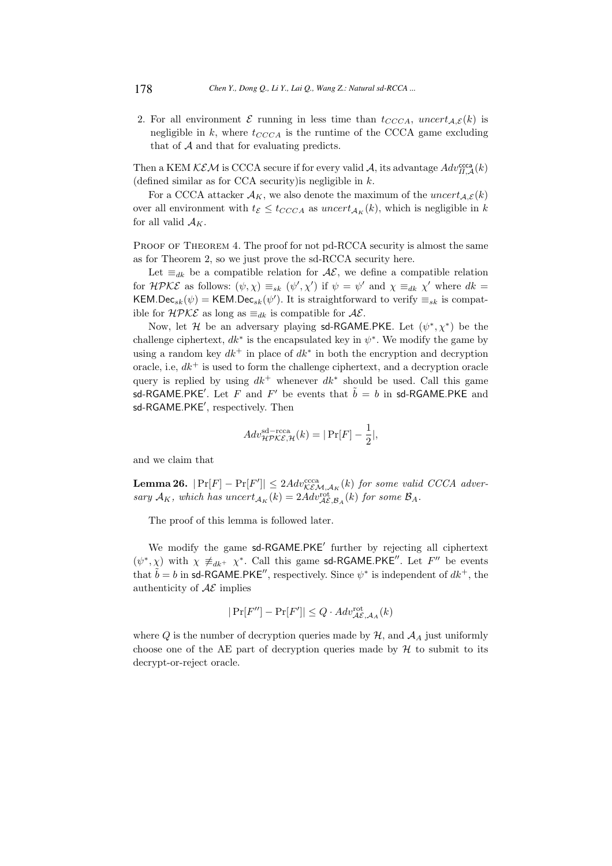2. For all environment  $\mathcal E$  running in less time than  $t_{CCCA}$ , uncert<sub>A, $\mathcal E(k)$ </sub> is negligible in k, where  $t_{CCCA}$  is the runtime of the CCCA game excluding that of  $A$  and that for evaluating predicts.

Then a KEM  $KEM$  is CCCA secure if for every valid A, its advantage  $Adv_{\Pi,\mathcal{A}}^{\text{ccca}}(k)$ (defined similar as for CCA security) is negligible in  $k$ .

For a CCCA attacker  $A_K$ , we also denote the maximum of the uncert<sub>A, $\mathcal{E}(k)$ </sub> over all environment with  $t_{\mathcal{E}} \leq t_{CCCA}$  as  $uncert_{\mathcal{A}_{K}}(k)$ , which is negligible in k for all valid  $A_K$ .

PROOF OF THEOREM 4. The proof for not pd-RCCA security is almost the same as for Theorem 2, so we just prove the sd-RCCA security here.

Let  $\equiv_{dk}$  be a compatible relation for  $\mathcal{AE}$ , we define a compatible relation for  $H P K \mathcal{E}$  as follows:  $(\psi, \chi) \equiv_{sk} (\psi', \chi')$  if  $\psi = \psi'$  and  $\chi \equiv_{dk} \chi'$  where  $dk =$ KEM.Dec<sub>sk</sub> $(\psi)$  = KEM.Dec<sub>sk</sub> $(\psi')$ . It is straightforward to verify  $\equiv_{sk}$  is compatible for  $H\mathcal{PKE}$  as long as  $\equiv_{dk}$  is compatible for  $\mathcal{AE}$ .

Now, let H be an adversary playing sd-RGAME.PKE. Let  $(\psi^*, \chi^*)$  be the challenge ciphertext,  $dk^*$  is the encapsulated key in  $\psi^*$ . We modify the game by using a random key  $dk^+$  in place of  $dk^*$  in both the encryption and decryption oracle, i.e,  $dk^+$  is used to form the challenge ciphertext, and a decryption oracle query is replied by using  $dk^+$  whenever  $dk^*$  should be used. Call this game sd-RGAME.PKE'. Let F and F' be events that  $\tilde{b} = b$  in sd-RGAME.PKE and sd-RGAME.PKE′ , respectively. Then

$$
Adv_{\mathcal{HPKE},\mathcal{H}}^{\text{sd}-\text{rcca}}(k) = |\Pr[F] - \frac{1}{2}|,
$$

and we claim that

**Lemma 26.**  $|\Pr[F] - \Pr[F']| \leq 2Adv_{\mathcal{KEM}, \mathcal{A}_K}^{ccca}(k)$  for some valid CCCA adversary  $A_K$ , which has uncert<sub> $A_K(k) = 2A dv_{\mathcal{A}\mathcal{E}, \mathcal{B}_A}^{\text{rot}}(k)$  for some  $\mathcal{B}_A$ .</sub>

The proof of this lemma is followed later.

We modify the game sd-RGAME.PKE<sup>'</sup> further by rejecting all ciphertext  $(\psi^*, \chi)$  with  $\chi \not\equiv_{dk^+} \chi^*$ . Call this game sd-RGAME.PKE''. Let F'' be events that  $\tilde{b} = b$  in sd-RGAME.PKE'', respectively. Since  $\psi^*$  is independent of  $dk^+$ , the authenticity of  $A\mathcal{E}$  implies

$$
|\Pr[F''] - \Pr[F']| \le Q \cdot Adv_{\mathcal{AE}, \mathcal{A}_A}^{\mathrm{rot}}(k)
$$

where Q is the number of decryption queries made by  $H$ , and  $A<sub>A</sub>$  just uniformly choose one of the AE part of decryption queries made by  $H$  to submit to its decrypt-or-reject oracle.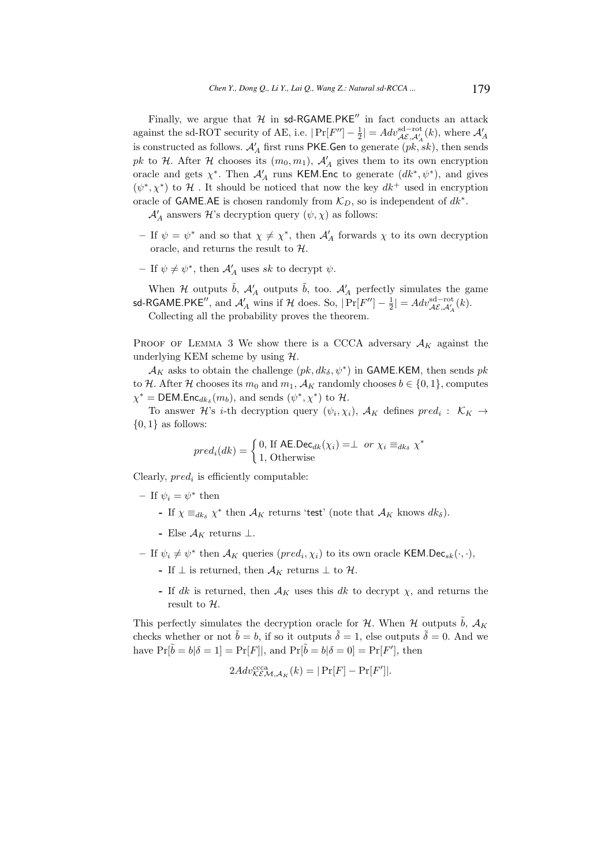Finally, we argue that  $H$  in sd-RGAME.PKE<sup> $\prime\prime$ </sup> in fact conducts an attack against the sd-ROT security of AE, i.e.  $|\Pr[F''] - \frac{1}{2}| = Adv_{\mathcal{AE}, \mathcal{A}'_{A}}^{\text{sd-rot}}(k)$ , where  $\mathcal{A}'_{A}$ is constructed as follows.  $\mathcal{A}'_A$  first runs PKE.Gen to generate  $(pk, sk)$ , then sends pk to H. After H chooses its  $(m_0, m_1)$ ,  $\mathcal{A}'_A$  gives them to its own encryption oracle and gets  $\chi^*$ . Then  $\mathcal{A}'_A$  runs KEM. Enc to generate  $(dk^*, \psi^*)$ , and gives  $(\psi^*, \chi^*)$  to H. It should be noticed that now the key  $dk^+$  used in encryption oracle of GAME.AE is chosen randomly from  $\mathcal{K}_D$ , so is independent of  $dk^*$ .

 $\mathcal{A}'_A$  answers  $\mathcal{H}$  's decryption query  $(\psi,\chi)$  as follows:

- If  $\psi = \psi^*$  and so that  $\chi \neq \chi^*$ , then  $\mathcal{A}'_A$  forwards  $\chi$  to its own decryption oracle, and returns the result to  $H$ .
- If  $\psi \neq \psi^*$ , then  $\mathcal{A}'_A$  uses sk to decrypt  $\psi$ .

When H outputs  $\tilde{b}$ ,  $\mathcal{A}'_A$  outputs  $\tilde{b}$ , too.  $\mathcal{A}'_A$  perfectly simulates the game sd-RGAME.PKE'', and  $\mathcal{A}'_A$  wins if  $\mathcal{H}$  does. So,  $|\Pr[F''] - \frac{1}{2}| = Adv_{\mathcal{A}\mathcal{E},\mathcal{A}'_A}(k)$ . Collecting all the probability proves the theorem.

PROOF OF LEMMA 3 We show there is a CCCA adversary  $A_K$  against the underlying KEM scheme by using  $H$ .

 $\mathcal{A}_K$  asks to obtain the challenge  $(pk, dk_\delta, \psi^*)$  in GAME.KEM, then sends  $pk$ to H. After H chooses its  $m_0$  and  $m_1$ ,  $\mathcal{A}_K$  randomly chooses  $b \in \{0, 1\}$ , computes  $\chi^* = \text{DEM}.\text{Enc}_{dk_\delta}(m_b)$ , and sends  $(\psi^*, \chi^*)$  to  $\mathcal{H}$ .

To answer  $\mathcal{H}$ 's *i*-th decryption query  $(\psi_i, \chi_i)$ ,  $\mathcal{A}_K$  defines  $pred_i: \mathcal{K}_K \rightarrow$  $\{0,1\}$  as follows:

$$
pred_i(dk) = \begin{cases} 0, \text{ If } \mathsf{AE}.\mathsf{Dec}_{dk}(\chi_i) = \perp \text{ or } \chi_i \equiv_{dk_{\delta}} \chi^* \\ 1, \text{ Otherwise} \end{cases}
$$

Clearly,  $pred_i$  is efficiently computable:

– If  $\psi_i = \psi^*$  then

- If  $\chi \equiv_{dk_{\delta}} \chi^*$  then  $\mathcal{A}_K$  returns 'test' (note that  $\mathcal{A}_K$  knows  $dk_{\delta}$ ).
- Else  $\mathcal{A}_K$  returns  $\perp$ .
- If  $\psi_i \neq \psi^*$  then  $\mathcal{A}_K$  queries  $(pred_i, \chi_i)$  to its own oracle KEM.Dec<sub>sk</sub> $(\cdot, \cdot)$ ,
	- If  $\perp$  is returned, then  $\mathcal{A}_K$  returns  $\perp$  to  $\mathcal{H}$ .
	- If dk is returned, then  $A_K$  uses this dk to decrypt  $\chi$ , and returns the result to  $H$ .

This perfectly simulates the decryption oracle for  $H$ . When  $H$  outputs  $\ddot{b}$ ,  $\mathcal{A}_K$ checks whether or not  $\tilde{b} = b$ , if so it outputs  $\tilde{\delta} = 1$ , else outputs  $\tilde{\delta} = 0$ . And we have  $\Pr[\tilde{b} = b | \delta = 1] = \Pr[F]$ , and  $\Pr[\tilde{b} = b | \delta = 0] = \Pr[F']$ , then

$$
2Adv_{\mathcal{KEM},\mathcal{A}_K}^{\text{ccca}}(k) = |\Pr[F] - \Pr[F']|.
$$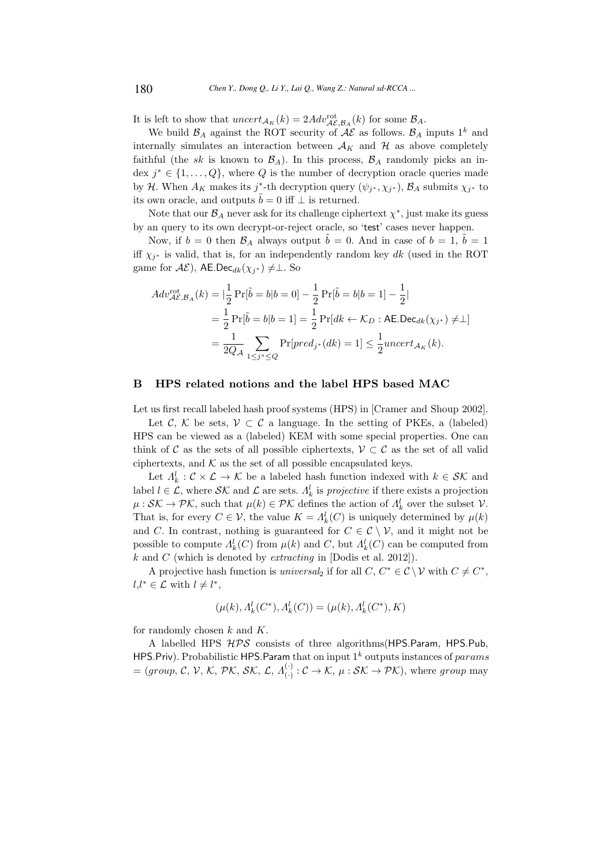It is left to show that  $uncert_{\mathcal{A}_K}(k) = 2Adv_{\mathcal{A}\mathcal{E},\mathcal{B}_A}^{\text{rot}}(k)$  for some  $\mathcal{B}_A$ .

We build  $\mathcal{B}_A$  against the ROT security of  $\mathcal{A}\mathcal{E}$  as follows.  $\mathcal{B}_A$  inputs  $1^k$  and internally simulates an interaction between  $A_K$  and  $H$  as above completely faithful (the sk is known to  $\mathcal{B}_A$ ). In this process,  $\mathcal{B}_A$  randomly picks an index  $j^* \in \{1, \ldots, Q\}$ , where Q is the number of decryption oracle queries made by H. When  $A_K$  makes its j<sup>\*</sup>-th decryption query  $(\psi_{j^*}, \chi_{j^*}), \mathcal{B}_A$  submits  $\chi_{j^*}$  to its own oracle, and outputs  $\tilde{b} = 0$  iff  $\perp$  is returned.

Note that our  $\mathcal{B}_A$  never ask for its challenge ciphertext  $\chi^*$ , just make its guess by an query to its own decrypt-or-reject oracle, so 'test' cases never happen.

Now, if  $b = 0$  then  $\mathcal{B}_A$  always output  $\tilde{b} = 0$ . And in case of  $b = 1$ ,  $\tilde{b} = 1$ iff  $\chi_{j^*}$  is valid, that is, for an independently random key dk (used in the ROT game for  $\mathcal{AE}$ ), AE.Dec $_{dk}(\chi_{j^*})\neq \perp$ . So

$$
Adv_{\mathcal{AE}, \mathcal{B}_{A}}^{\text{rot}}(k) = |\frac{1}{2} \Pr[\tilde{b} = b | b = 0] - \frac{1}{2} \Pr[\tilde{b} = b | b = 1] - \frac{1}{2}|
$$
  
=  $\frac{1}{2} \Pr[\tilde{b} = b | b = 1] = \frac{1}{2} \Pr[dk \leftarrow \mathcal{K}_{D} : \text{AE.Dec}_{dk}(\chi_{j^{*}}) \neq \bot]$   
=  $\frac{1}{2Q_{\mathcal{A}}} \sum_{1 \leq j^{*} \leq Q} \Pr[pred_{j^{*}}(dk) = 1] \leq \frac{1}{2} \text{uncert}_{\mathcal{A}_{K}}(k).$ 

#### B HPS related notions and the label HPS based MAC

Let us first recall labeled hash proof systems (HPS) in [Cramer and Shoup 2002].

Let C, K be sets,  $V \subset C$  a language. In the setting of PKEs, a (labeled) HPS can be viewed as a (labeled) KEM with some special properties. One can think of C as the sets of all possible ciphertexts,  $\mathcal{V} \subset \mathcal{C}$  as the set of all valid ciphertexts, and  $K$  as the set of all possible encapsulated keys.

Let  $\Lambda_k^l : \mathcal{C} \times \mathcal{L} \to \mathcal{K}$  be a labeled hash function indexed with  $k \in \mathcal{SK}$  and label  $l \in \mathcal{L}$ , where  $\mathcal{SK}$  and  $\mathcal{L}$  are sets.  $\Lambda_k^l$  is *projective* if there exists a projection  $\mu: \mathcal{SK} \to \mathcal{PK}$ , such that  $\mu(k) \in \mathcal{PK}$  defines the action of  $\Lambda_k^l$  over the subset  $\mathcal{V}$ . That is, for every  $C \in \mathcal{V}$ , the value  $K = \Lambda_k^l(C)$  is uniquely determined by  $\mu(k)$ and C. In contrast, nothing is guaranteed for  $C \in \mathcal{C} \setminus \mathcal{V}$ , and it might not be possible to compute  $\Lambda_k^l(C)$  from  $\mu(k)$  and C, but  $\Lambda_k^l(C)$  can be computed from  $k$  and  $C$  (which is denoted by *extracting* in [Dodis et al. 2012]).

A projective hash function is *universal*<sub>2</sub> if for all  $C, C^* \in \mathcal{C} \setminus \mathcal{V}$  with  $C \neq C^*$ ,  $l, l^* \in \mathcal{L}$  with  $l \neq l^*$ ,

$$
(\mu(k), \Lambda_k^l(C^*), \Lambda_k^l(C)) = (\mu(k), \Lambda_k^l(C^*), K)
$$

for randomly chosen  $k$  and  $K$ .

A labelled HPS  $HPS$  consists of three algorithms (HPS. Param, HPS. Pub, HPS.Priv). Probabilistic HPS.Param that on input  $1^k$  outputs instances of params  $=(group, C, V, K, PK, \mathcal{SK}, \mathcal{L}, \Lambda_{\mathcal{L}}^{(1)})$  $C_j : \mathcal{C} \to \mathcal{K}, \mu : \mathcal{SK} \to \mathcal{PK}$ , where group may